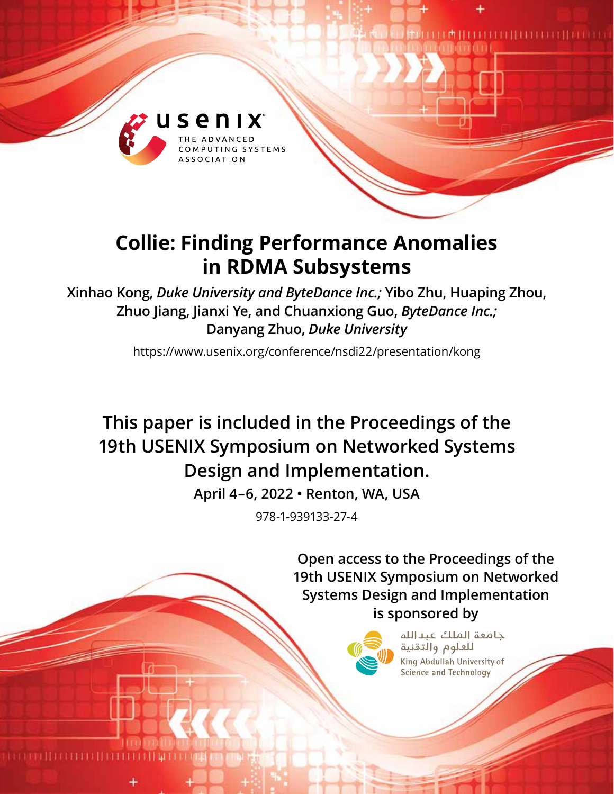

# **Collie: Finding Performance Anomalies in RDMA Subsystems**

**Xinhao Kong,** *Duke University and ByteDance Inc.;* **Yibo Zhu, Huaping Zhou, Zhuo Jiang, Jianxi Ye, and Chuanxiong Guo,** *ByteDance Inc.;*  **Danyang Zhuo,** *Duke University*

https://www.usenix.org/conference/nsdi22/presentation/kong

**This paper is included in the Proceedings of the 19th USENIX Symposium on Networked Systems Design and Implementation.**

**April 4–6, 2022 • Renton, WA, USA**

978-1-939133-27-4

**Open access to the Proceedings of the 19th USENIX Symposium on Networked Systems Design and Implementation is sponsored by**



حامعة الملك عبدالله للعلوم والتقنية King Abdullah University of Science and Technology

88881 | 188888 | 188888 | 188888 | 188888 | 188888 | 188888 | 188888 | 188888 | 188888 | 188888 | 188888 | 18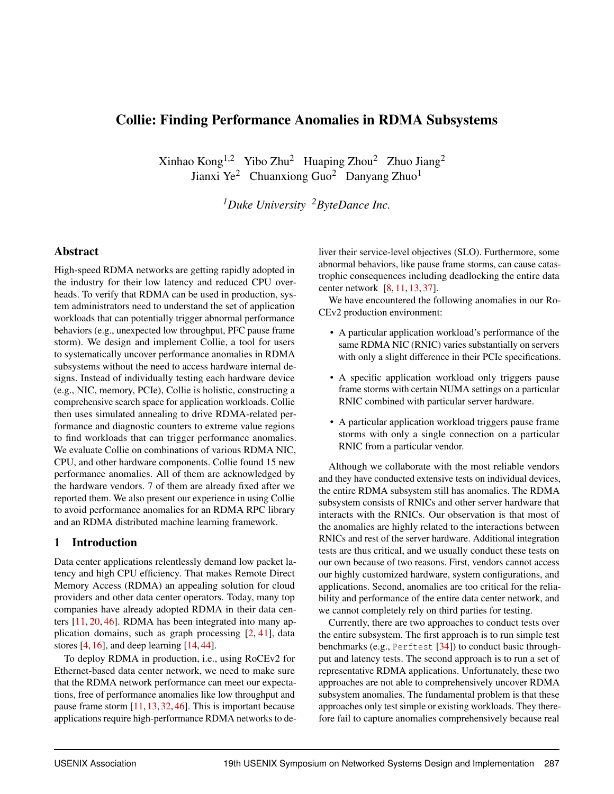# Collie: Finding Performance Anomalies in RDMA Subsystems

Xinhao Kong<sup>1,2</sup> Yibo Zhu<sup>2</sup> Huaping Zhou<sup>2</sup> Zhuo Jiang<sup>2</sup> Jianxi Ye<sup>2</sup> Chuanxiong Guo<sup>2</sup> Danyang Zhuo<sup>1</sup>

*<sup>1</sup>Duke University <sup>2</sup>ByteDance Inc.*

## Abstract

High-speed RDMA networks are getting rapidly adopted in the industry for their low latency and reduced CPU overheads. To verify that RDMA can be used in production, system administrators need to understand the set of application workloads that can potentially trigger abnormal performance behaviors (e.g., unexpected low throughput, PFC pause frame storm). We design and implement Collie, a tool for users to systematically uncover performance anomalies in RDMA subsystems without the need to access hardware internal designs. Instead of individually testing each hardware device (e.g., NIC, memory, PCIe), Collie is holistic, constructing a comprehensive search space for application workloads. Collie then uses simulated annealing to drive RDMA-related performance and diagnostic counters to extreme value regions to find workloads that can trigger performance anomalies. We evaluate Collie on combinations of various RDMA NIC, CPU, and other hardware components. Collie found 15 new performance anomalies. All of them are acknowledged by the hardware vendors. 7 of them are already fixed after we reported them. We also present our experience in using Collie to avoid performance anomalies for an RDMA RPC library and an RDMA distributed machine learning framework.

## 1 Introduction

Data center applications relentlessly demand low packet latency and high CPU efficiency. That makes Remote Direct Memory Access (RDMA) an appealing solution for cloud providers and other data center operators. Today, many top companies have already adopted RDMA in their data centers [\[11,](#page-14-0) [20,](#page-14-1) [46\]](#page-15-0). RDMA has been integrated into many application domains, such as graph processing [\[2,](#page-14-2) [41\]](#page-15-1), data stores [\[4,](#page-14-3) [16\]](#page-14-4), and deep learning [\[14,](#page-14-5) [44\]](#page-15-2).

To deploy RDMA in production, i.e., using RoCEv2 for Ethernet-based data center network, we need to make sure that the RDMA network performance can meet our expectations, free of performance anomalies like low throughput and pause frame storm [\[11,](#page-14-0) [13,](#page-14-6) [32,](#page-15-3) [46\]](#page-15-0). This is important because applications require high-performance RDMA networks to deliver their service-level objectives (SLO). Furthermore, some abnormal behaviors, like pause frame storms, can cause catastrophic consequences including deadlocking the entire data center network [\[8,](#page-14-7) [11,](#page-14-0) [13,](#page-14-6) [37\]](#page-15-4).

We have encountered the following anomalies in our Ro-CEv2 production environment:

- A particular application workload's performance of the same RDMA NIC (RNIC) varies substantially on servers with only a slight difference in their PCIe specifications.
- A specific application workload only triggers pause frame storms with certain NUMA settings on a particular RNIC combined with particular server hardware.
- A particular application workload triggers pause frame storms with only a single connection on a particular RNIC from a particular vendor.

Although we collaborate with the most reliable vendors and they have conducted extensive tests on individual devices, the entire RDMA subsystem still has anomalies. The RDMA subsystem consists of RNICs and other server hardware that interacts with the RNICs. Our observation is that most of the anomalies are highly related to the interactions between RNICs and rest of the server hardware. Additional integration tests are thus critical, and we usually conduct these tests on our own because of two reasons. First, vendors cannot access our highly customized hardware, system configurations, and applications. Second, anomalies are too critical for the reliability and performance of the entire data center network, and we cannot completely rely on third parties for testing.

Currently, there are two approaches to conduct tests over the entire subsystem. The first approach is to run simple test benchmarks (e.g., Perftest [\[34\]](#page-15-5)) to conduct basic throughput and latency tests. The second approach is to run a set of representative RDMA applications. Unfortunately, these two approaches are not able to comprehensively uncover RDMA subsystem anomalies. The fundamental problem is that these approaches only test simple or existing workloads. They therefore fail to capture anomalies comprehensively because real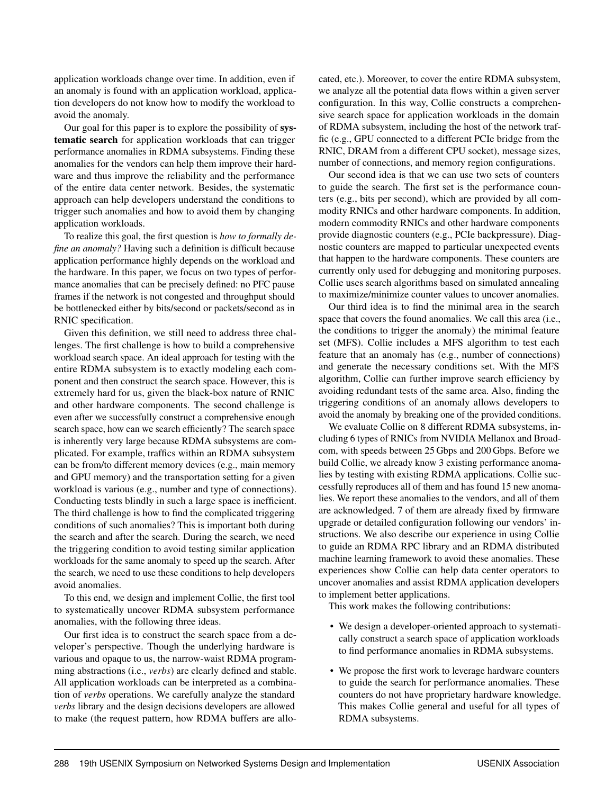application workloads change over time. In addition, even if an anomaly is found with an application workload, application developers do not know how to modify the workload to avoid the anomaly.

Our goal for this paper is to explore the possibility of systematic search for application workloads that can trigger performance anomalies in RDMA subsystems. Finding these anomalies for the vendors can help them improve their hardware and thus improve the reliability and the performance of the entire data center network. Besides, the systematic approach can help developers understand the conditions to trigger such anomalies and how to avoid them by changing application workloads.

To realize this goal, the first question is *how to formally define an anomaly?* Having such a definition is difficult because application performance highly depends on the workload and the hardware. In this paper, we focus on two types of performance anomalies that can be precisely defined: no PFC pause frames if the network is not congested and throughput should be bottlenecked either by bits/second or packets/second as in RNIC specification.

Given this definition, we still need to address three challenges. The first challenge is how to build a comprehensive workload search space. An ideal approach for testing with the entire RDMA subsystem is to exactly modeling each component and then construct the search space. However, this is extremely hard for us, given the black-box nature of RNIC and other hardware components. The second challenge is even after we successfully construct a comprehensive enough search space, how can we search efficiently? The search space is inherently very large because RDMA subsystems are complicated. For example, traffics within an RDMA subsystem can be from/to different memory devices (e.g., main memory and GPU memory) and the transportation setting for a given workload is various (e.g., number and type of connections). Conducting tests blindly in such a large space is inefficient. The third challenge is how to find the complicated triggering conditions of such anomalies? This is important both during the search and after the search. During the search, we need the triggering condition to avoid testing similar application workloads for the same anomaly to speed up the search. After the search, we need to use these conditions to help developers avoid anomalies.

To this end, we design and implement Collie, the first tool to systematically uncover RDMA subsystem performance anomalies, with the following three ideas.

Our first idea is to construct the search space from a developer's perspective. Though the underlying hardware is various and opaque to us, the narrow-waist RDMA programming abstractions (i.e., *verbs*) are clearly defined and stable. All application workloads can be interpreted as a combination of *verbs* operations. We carefully analyze the standard *verbs* library and the design decisions developers are allowed to make (the request pattern, how RDMA buffers are allocated, etc.). Moreover, to cover the entire RDMA subsystem, we analyze all the potential data flows within a given server configuration. In this way, Collie constructs a comprehensive search space for application workloads in the domain of RDMA subsystem, including the host of the network traffic (e.g., GPU connected to a different PCIe bridge from the RNIC, DRAM from a different CPU socket), message sizes, number of connections, and memory region configurations.

Our second idea is that we can use two sets of counters to guide the search. The first set is the performance counters (e.g., bits per second), which are provided by all commodity RNICs and other hardware components. In addition, modern commodity RNICs and other hardware components provide diagnostic counters (e.g., PCIe backpressure). Diagnostic counters are mapped to particular unexpected events that happen to the hardware components. These counters are currently only used for debugging and monitoring purposes. Collie uses search algorithms based on simulated annealing to maximize/minimize counter values to uncover anomalies.

Our third idea is to find the minimal area in the search space that covers the found anomalies. We call this area (i.e., the conditions to trigger the anomaly) the minimal feature set (MFS). Collie includes a MFS algorithm to test each feature that an anomaly has (e.g., number of connections) and generate the necessary conditions set. With the MFS algorithm, Collie can further improve search efficiency by avoiding redundant tests of the same area. Also, finding the triggering conditions of an anomaly allows developers to avoid the anomaly by breaking one of the provided conditions.

We evaluate Collie on 8 different RDMA subsystems, including 6 types of RNICs from NVIDIA Mellanox and Broadcom, with speeds between 25 Gbps and 200 Gbps. Before we build Collie, we already know 3 existing performance anomalies by testing with existing RDMA applications. Collie successfully reproduces all of them and has found 15 new anomalies. We report these anomalies to the vendors, and all of them are acknowledged. 7 of them are already fixed by firmware upgrade or detailed configuration following our vendors' instructions. We also describe our experience in using Collie to guide an RDMA RPC library and an RDMA distributed machine learning framework to avoid these anomalies. These experiences show Collie can help data center operators to uncover anomalies and assist RDMA application developers to implement better applications.

This work makes the following contributions:

- We design a developer-oriented approach to systematically construct a search space of application workloads to find performance anomalies in RDMA subsystems.
- We propose the first work to leverage hardware counters to guide the search for performance anomalies. These counters do not have proprietary hardware knowledge. This makes Collie general and useful for all types of RDMA subsystems.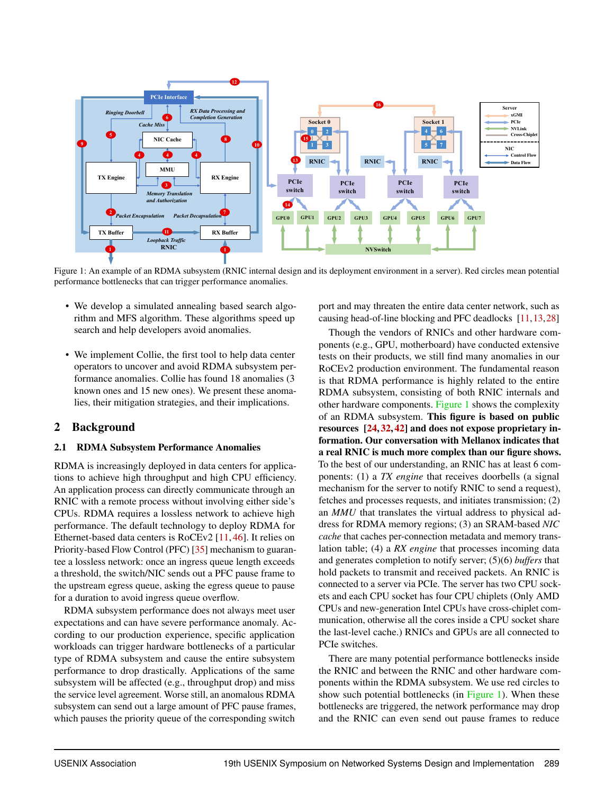<span id="page-3-0"></span>

Figure 1: An example of an RDMA subsystem (RNIC internal design and its deployment environment in a server). Red circles mean potential performance bottlenecks that can trigger performance anomalies.

- We develop a simulated annealing based search algorithm and MFS algorithm. These algorithms speed up search and help developers avoid anomalies.
- We implement Collie, the first tool to help data center operators to uncover and avoid RDMA subsystem performance anomalies. Collie has found 18 anomalies (3 known ones and 15 new ones). We present these anomalies, their mitigation strategies, and their implications.

## <span id="page-3-1"></span>2 Background

#### 2.1 RDMA Subsystem Performance Anomalies

RDMA is increasingly deployed in data centers for applications to achieve high throughput and high CPU efficiency. An application process can directly communicate through an RNIC with a remote process without involving either side's CPUs. RDMA requires a lossless network to achieve high performance. The default technology to deploy RDMA for Ethernet-based data centers is RoCEv2 [\[11,](#page-14-0) [46\]](#page-15-0). It relies on Priority-based Flow Control (PFC) [\[35\]](#page-15-6) mechanism to guarantee a lossless network: once an ingress queue length exceeds a threshold, the switch/NIC sends out a PFC pause frame to the upstream egress queue, asking the egress queue to pause for a duration to avoid ingress queue overflow.

RDMA subsystem performance does not always meet user expectations and can have severe performance anomaly. According to our production experience, specific application workloads can trigger hardware bottlenecks of a particular type of RDMA subsystem and cause the entire subsystem performance to drop drastically. Applications of the same subsystem will be affected (e.g., throughput drop) and miss the service level agreement. Worse still, an anomalous RDMA subsystem can send out a large amount of PFC pause frames, which pauses the priority queue of the corresponding switch

port and may threaten the entire data center network, such as causing head-of-line blocking and PFC deadlocks [\[11,](#page-14-0)[13,](#page-14-6)[28\]](#page-15-7)

Though the vendors of RNICs and other hardware components (e.g., GPU, motherboard) have conducted extensive tests on their products, we still find many anomalies in our RoCEv2 production environment. The fundamental reason is that RDMA performance is highly related to the entire RDMA subsystem, consisting of both RNIC internals and other hardware components. [Figure 1](#page-3-0) shows the complexity of an RDMA subsystem. This figure is based on public resources [\[24,](#page-14-8) [32,](#page-15-3) [42\]](#page-15-8) and does not expose proprietary information. Our conversation with Mellanox indicates that a real RNIC is much more complex than our figure shows. To the best of our understanding, an RNIC has at least 6 components: (1) a *TX engine* that receives doorbells (a signal mechanism for the server to notify RNIC to send a request), fetches and processes requests, and initiates transmission; (2) an *MMU* that translates the virtual address to physical address for RDMA memory regions; (3) an SRAM-based *NIC cache* that caches per-connection metadata and memory translation table; (4) a *RX engine* that processes incoming data and generates completion to notify server; (5)(6) *buffers* that hold packets to transmit and received packets. An RNIC is connected to a server via PCIe. The server has two CPU sockets and each CPU socket has four CPU chiplets (Only AMD CPUs and new-generation Intel CPUs have cross-chiplet communication, otherwise all the cores inside a CPU socket share the last-level cache.) RNICs and GPUs are all connected to PCIe switches.

There are many potential performance bottlenecks inside the RNIC and between the RNIC and other hardware components within the RDMA subsystem. We use red circles to show such potential bottlenecks (in [Figure 1\)](#page-3-0). When these bottlenecks are triggered, the network performance may drop and the RNIC can even send out pause frames to reduce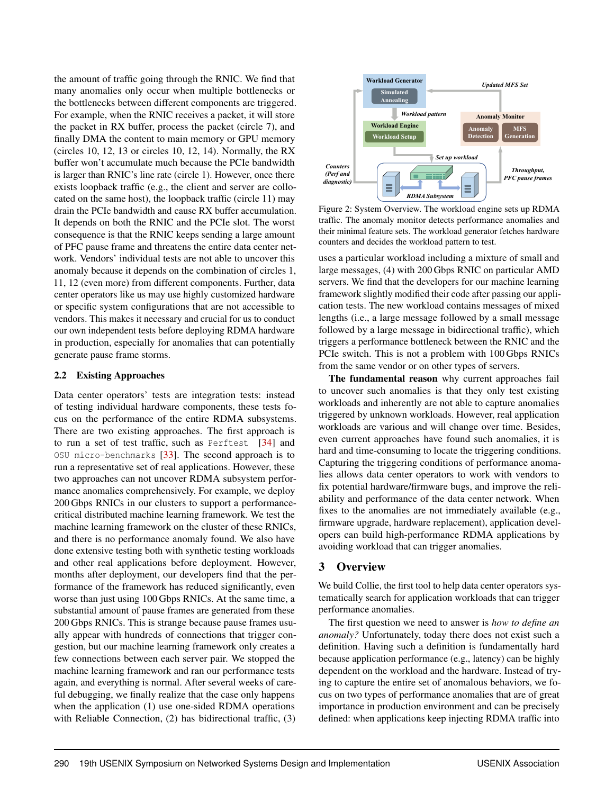the amount of traffic going through the RNIC. We find that many anomalies only occur when multiple bottlenecks or the bottlenecks between different components are triggered. For example, when the RNIC receives a packet, it will store the packet in RX buffer, process the packet (circle 7), and finally DMA the content to main memory or GPU memory (circles 10, 12, 13 or circles 10, 12, 14). Normally, the RX buffer won't accumulate much because the PCIe bandwidth is larger than RNIC's line rate (circle 1). However, once there exists loopback traffic (e.g., the client and server are collocated on the same host), the loopback traffic (circle 11) may drain the PCIe bandwidth and cause RX buffer accumulation. It depends on both the RNIC and the PCIe slot. The worst consequence is that the RNIC keeps sending a large amount of PFC pause frame and threatens the entire data center network. Vendors' individual tests are not able to uncover this anomaly because it depends on the combination of circles 1, 11, 12 (even more) from different components. Further, data center operators like us may use highly customized hardware or specific system configurations that are not accessible to vendors. This makes it necessary and crucial for us to conduct our own independent tests before deploying RDMA hardware in production, especially for anomalies that can potentially generate pause frame storms.

#### 2.2 Existing Approaches

Data center operators' tests are integration tests: instead of testing individual hardware components, these tests focus on the performance of the entire RDMA subsystems. There are two existing approaches. The first approach is to run a set of test traffic, such as Perftest [\[34\]](#page-15-5) and OSU micro-benchmarks [\[33\]](#page-15-9). The second approach is to run a representative set of real applications. However, these two approaches can not uncover RDMA subsystem performance anomalies comprehensively. For example, we deploy 200 Gbps RNICs in our clusters to support a performancecritical distributed machine learning framework. We test the machine learning framework on the cluster of these RNICs, and there is no performance anomaly found. We also have done extensive testing both with synthetic testing workloads and other real applications before deployment. However, months after deployment, our developers find that the performance of the framework has reduced significantly, even worse than just using 100 Gbps RNICs. At the same time, a substantial amount of pause frames are generated from these 200 Gbps RNICs. This is strange because pause frames usually appear with hundreds of connections that trigger congestion, but our machine learning framework only creates a few connections between each server pair. We stopped the machine learning framework and ran our performance tests again, and everything is normal. After several weeks of careful debugging, we finally realize that the case only happens when the application (1) use one-sided RDMA operations with Reliable Connection, (2) has bidirectional traffic, (3)

<span id="page-4-0"></span>

Figure 2: System Overview. The workload engine sets up RDMA traffic. The anomaly monitor detects performance anomalies and their minimal feature sets. The workload generator fetches hardware counters and decides the workload pattern to test.

uses a particular workload including a mixture of small and large messages, (4) with 200 Gbps RNIC on particular AMD servers. We find that the developers for our machine learning framework slightly modified their code after passing our application tests. The new workload contains messages of mixed lengths (i.e., a large message followed by a small message followed by a large message in bidirectional traffic), which triggers a performance bottleneck between the RNIC and the PCIe switch. This is not a problem with 100 Gbps RNICs from the same vendor or on other types of servers.

The fundamental reason why current approaches fail to uncover such anomalies is that they only test existing workloads and inherently are not able to capture anomalies triggered by unknown workloads. However, real application workloads are various and will change over time. Besides, even current approaches have found such anomalies, it is hard and time-consuming to locate the triggering conditions. Capturing the triggering conditions of performance anomalies allows data center operators to work with vendors to fix potential hardware/firmware bugs, and improve the reliability and performance of the data center network. When fixes to the anomalies are not immediately available (e.g., firmware upgrade, hardware replacement), application developers can build high-performance RDMA applications by avoiding workload that can trigger anomalies.

# 3 Overview

We build Collie, the first tool to help data center operators systematically search for application workloads that can trigger performance anomalies.

The first question we need to answer is *how to define an anomaly?* Unfortunately, today there does not exist such a definition. Having such a definition is fundamentally hard because application performance (e.g., latency) can be highly dependent on the workload and the hardware. Instead of trying to capture the entire set of anomalous behaviors, we focus on two types of performance anomalies that are of great importance in production environment and can be precisely defined: when applications keep injecting RDMA traffic into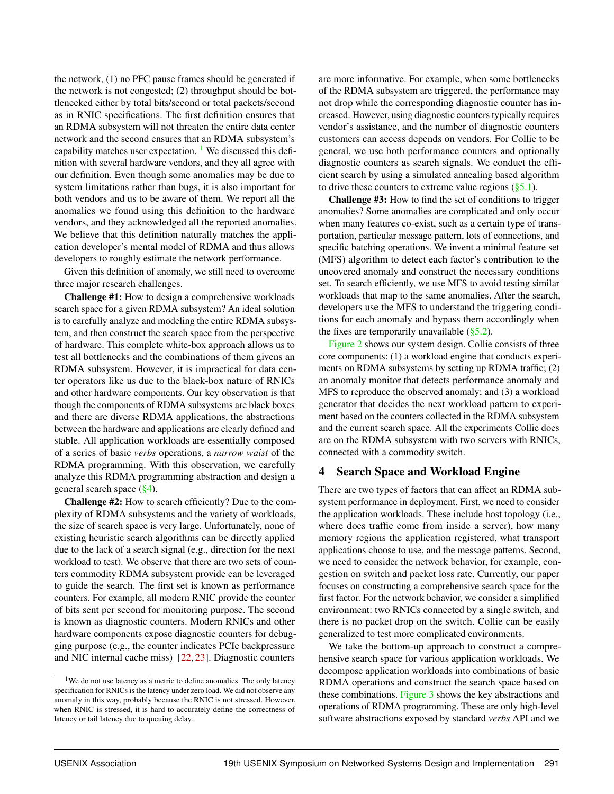the network, (1) no PFC pause frames should be generated if the network is not congested; (2) throughput should be bottlenecked either by total bits/second or total packets/second as in RNIC specifications. The first definition ensures that an RDMA subsystem will not threaten the entire data center network and the second ensures that an RDMA subsystem's capability matches user expectation.  $\frac{1}{1}$  $\frac{1}{1}$  $\frac{1}{1}$  We discussed this definition with several hardware vendors, and they all agree with our definition. Even though some anomalies may be due to system limitations rather than bugs, it is also important for both vendors and us to be aware of them. We report all the anomalies we found using this definition to the hardware vendors, and they acknowledged all the reported anomalies. We believe that this definition naturally matches the application developer's mental model of RDMA and thus allows developers to roughly estimate the network performance.

Given this definition of anomaly, we still need to overcome three major research challenges.

Challenge #1: How to design a comprehensive workloads search space for a given RDMA subsystem? An ideal solution is to carefully analyze and modeling the entire RDMA subsystem, and then construct the search space from the perspective of hardware. This complete white-box approach allows us to test all bottlenecks and the combinations of them givens an RDMA subsystem. However, it is impractical for data center operators like us due to the black-box nature of RNICs and other hardware components. Our key observation is that though the components of RDMA subsystems are black boxes and there are diverse RDMA applications, the abstractions between the hardware and applications are clearly defined and stable. All application workloads are essentially composed of a series of basic *verbs* operations, a *narrow waist* of the RDMA programming. With this observation, we carefully analyze this RDMA programming abstraction and design a general search space  $(\frac{8}{94})$ .

Challenge #2: How to search efficiently? Due to the complexity of RDMA subsystems and the variety of workloads, the size of search space is very large. Unfortunately, none of existing heuristic search algorithms can be directly applied due to the lack of a search signal (e.g., direction for the next workload to test). We observe that there are two sets of counters commodity RDMA subsystem provide can be leveraged to guide the search. The first set is known as performance counters. For example, all modern RNIC provide the counter of bits sent per second for monitoring purpose. The second is known as diagnostic counters. Modern RNICs and other hardware components expose diagnostic counters for debugging purpose (e.g., the counter indicates PCIe backpressure and NIC internal cache miss) [\[22,](#page-14-9) [23\]](#page-14-10). Diagnostic counters

<span id="page-5-0"></span><sup>1</sup>We do not use latency as a metric to define anomalies. The only latency specification for RNICs is the latency under zero load. We did not observe any anomaly in this way, probably because the RNIC is not stressed. However, when RNIC is stressed, it is hard to accurately define the correctness of latency or tail latency due to queuing delay.

are more informative. For example, when some bottlenecks of the RDMA subsystem are triggered, the performance may not drop while the corresponding diagnostic counter has increased. However, using diagnostic counters typically requires vendor's assistance, and the number of diagnostic counters customers can access depends on vendors. For Collie to be general, we use both performance counters and optionally diagnostic counters as search signals. We conduct the efficient search by using a simulated annealing based algorithm to drive these counters to extreme value regions  $(\S 5.1)$ .

Challenge #3: How to find the set of conditions to trigger anomalies? Some anomalies are complicated and only occur when many features co-exist, such as a certain type of transportation, particular message pattern, lots of connections, and specific batching operations. We invent a minimal feature set (MFS) algorithm to detect each factor's contribution to the uncovered anomaly and construct the necessary conditions set. To search efficiently, we use MFS to avoid testing similar workloads that map to the same anomalies. After the search, developers use the MFS to understand the triggering conditions for each anomaly and bypass them accordingly when the fixes are temporarily unavailable  $(\S 5.2)$ .

[Figure 2](#page-4-0) shows our system design. Collie consists of three core components: (1) a workload engine that conducts experiments on RDMA subsystems by setting up RDMA traffic; (2) an anomaly monitor that detects performance anomaly and MFS to reproduce the observed anomaly; and (3) a workload generator that decides the next workload pattern to experiment based on the counters collected in the RDMA subsystem and the current search space. All the experiments Collie does are on the RDMA subsystem with two servers with RNICs, connected with a commodity switch.

# <span id="page-5-1"></span>4 Search Space and Workload Engine

There are two types of factors that can affect an RDMA subsystem performance in deployment. First, we need to consider the application workloads. These include host topology (i.e., where does traffic come from inside a server), how many memory regions the application registered, what transport applications choose to use, and the message patterns. Second, we need to consider the network behavior, for example, congestion on switch and packet loss rate. Currently, our paper focuses on constructing a comprehensive search space for the first factor. For the network behavior, we consider a simplified environment: two RNICs connected by a single switch, and there is no packet drop on the switch. Collie can be easily generalized to test more complicated environments.

We take the bottom-up approach to construct a comprehensive search space for various application workloads. We decompose application workloads into combinations of basic RDMA operations and construct the search space based on these combinations. [Figure 3](#page-6-0) shows the key abstractions and operations of RDMA programming. These are only high-level software abstractions exposed by standard *verbs* API and we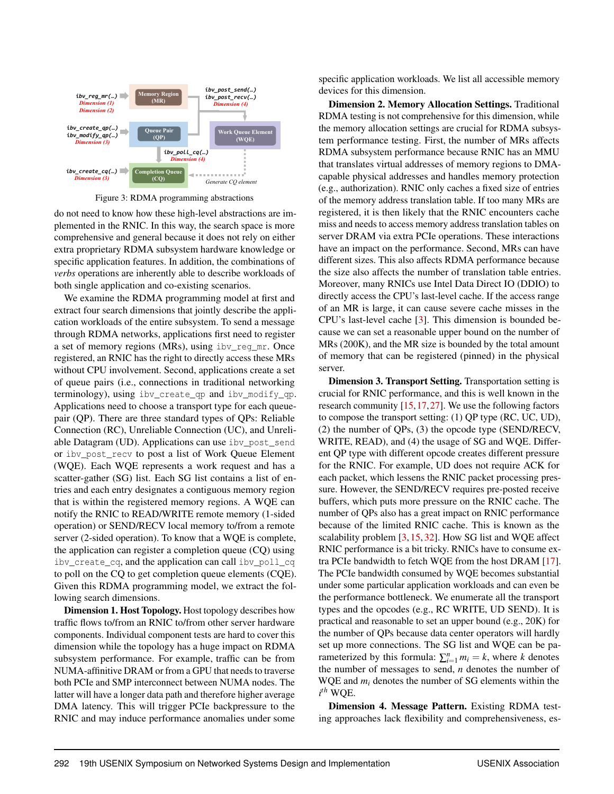<span id="page-6-0"></span>

Figure 3: RDMA programming abstractions

do not need to know how these high-level abstractions are implemented in the RNIC. In this way, the search space is more comprehensive and general because it does not rely on either extra proprietary RDMA subsystem hardware knowledge or specific application features. In addition, the combinations of *verbs* operations are inherently able to describe workloads of both single application and co-existing scenarios.

We examine the RDMA programming model at first and extract four search dimensions that jointly describe the application workloads of the entire subsystem. To send a message through RDMA networks, applications first need to register a set of memory regions (MRs), using ibv\_reg\_mr. Once registered, an RNIC has the right to directly access these MRs without CPU involvement. Second, applications create a set of queue pairs (i.e., connections in traditional networking terminology), using ibv\_create\_qp and ibv\_modify\_qp. Applications need to choose a transport type for each queuepair (QP). There are three standard types of QPs: Reliable Connection (RC), Unreliable Connection (UC), and Unreliable Datagram (UD). Applications can use ibv\_post\_send or ibv\_post\_recv to post a list of Work Queue Element (WQE). Each WQE represents a work request and has a scatter-gather (SG) list. Each SG list contains a list of entries and each entry designates a contiguous memory region that is within the registered memory regions. A WQE can notify the RNIC to READ/WRITE remote memory (1-sided operation) or SEND/RECV local memory to/from a remote server (2-sided operation). To know that a WQE is complete, the application can register a completion queue (CQ) using ibv\_create\_cq, and the application can call ibv\_poll\_cq to poll on the CQ to get completion queue elements (CQE). Given this RDMA programming model, we extract the following search dimensions.

Dimension 1. Host Topology. Host topology describes how traffic flows to/from an RNIC to/from other server hardware components. Individual component tests are hard to cover this dimension while the topology has a huge impact on RDMA subsystem performance. For example, traffic can be from NUMA-affinitive DRAM or from a GPU that needs to traverse both PCIe and SMP interconnect between NUMA nodes. The latter will have a longer data path and therefore higher average DMA latency. This will trigger PCIe backpressure to the RNIC and may induce performance anomalies under some

specific application workloads. We list all accessible memory devices for this dimension.

Dimension 2. Memory Allocation Settings. Traditional RDMA testing is not comprehensive for this dimension, while the memory allocation settings are crucial for RDMA subsystem performance testing. First, the number of MRs affects RDMA subsystem performance because RNIC has an MMU that translates virtual addresses of memory regions to DMAcapable physical addresses and handles memory protection (e.g., authorization). RNIC only caches a fixed size of entries of the memory address translation table. If too many MRs are registered, it is then likely that the RNIC encounters cache miss and needs to access memory address translation tables on server DRAM via extra PCIe operations. These interactions have an impact on the performance. Second, MRs can have different sizes. This also affects RDMA performance because the size also affects the number of translation table entries. Moreover, many RNICs use Intel Data Direct IO (DDIO) to directly access the CPU's last-level cache. If the access range of an MR is large, it can cause severe cache misses in the CPU's last-level cache [\[3\]](#page-14-11). This dimension is bounded because we can set a reasonable upper bound on the number of MRs (200K), and the MR size is bounded by the total amount of memory that can be registered (pinned) in the physical server.

Dimension 3. Transport Setting. Transportation setting is crucial for RNIC performance, and this is well known in the research community [\[15,](#page-14-12)[17,](#page-14-13)[27\]](#page-15-10). We use the following factors to compose the transport setting: (1) QP type (RC, UC, UD), (2) the number of QPs, (3) the opcode type (SEND/RECV, WRITE, READ), and (4) the usage of SG and WQE. Different QP type with different opcode creates different pressure for the RNIC. For example, UD does not require ACK for each packet, which lessens the RNIC packet processing pressure. However, the SEND/RECV requires pre-posted receive buffers, which puts more pressure on the RNIC cache. The number of QPs also has a great impact on RNIC performance because of the limited RNIC cache. This is known as the scalability problem [\[3,](#page-14-11) [15,](#page-14-12) [32\]](#page-15-3). How SG list and WQE affect RNIC performance is a bit tricky. RNICs have to consume extra PCIe bandwidth to fetch WQE from the host DRAM [\[17\]](#page-14-13). The PCIe bandwidth consumed by WQE becomes substantial under some particular application workloads and can even be the performance bottleneck. We enumerate all the transport types and the opcodes (e.g., RC WRITE, UD SEND). It is practical and reasonable to set an upper bound (e.g., 20K) for the number of QPs because data center operators will hardly set up more connections. The SG list and WQE can be parameterized by this formula:  $\sum_{i=1}^{n} m_i = k$ , where *k* denotes the number of messages to send, *n* denotes the number of WQE and *m<sup>i</sup>* denotes the number of SG elements within the *i th* WQE.

Dimension 4. Message Pattern. Existing RDMA testing approaches lack flexibility and comprehensiveness, es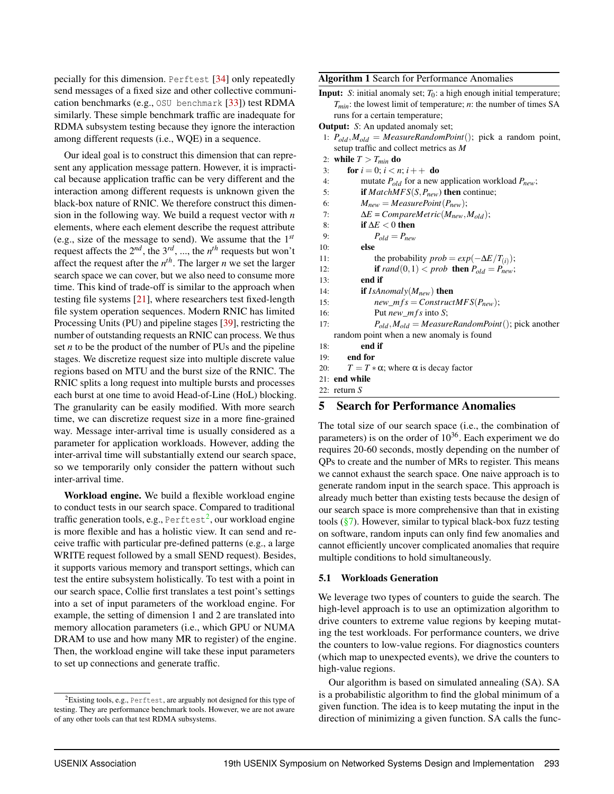pecially for this dimension. Perftest [\[34\]](#page-15-5) only repeatedly send messages of a fixed size and other collective communication benchmarks (e.g., OSU benchmark [\[33\]](#page-15-9)) test RDMA similarly. These simple benchmark traffic are inadequate for RDMA subsystem testing because they ignore the interaction among different requests (i.e., WQE) in a sequence.

Our ideal goal is to construct this dimension that can represent any application message pattern. However, it is impractical because application traffic can be very different and the interaction among different requests is unknown given the black-box nature of RNIC. We therefore construct this dimension in the following way. We build a request vector with *n* elements, where each element describe the request attribute (e.g., size of the message to send). We assume that the 1 *st* request affects the 2 *nd*, the 3 *rd*, ..., the *n th* requests but won't affect the request after the *n th*. The larger *n* we set the larger search space we can cover, but we also need to consume more time. This kind of trade-off is similar to the approach when testing file systems [\[21\]](#page-14-14), where researchers test fixed-length file system operation sequences. Modern RNIC has limited Processing Units (PU) and pipeline stages [\[39\]](#page-15-11), restricting the number of outstanding requests an RNIC can process. We thus set *n* to be the product of the number of PUs and the pipeline stages. We discretize request size into multiple discrete value regions based on MTU and the burst size of the RNIC. The RNIC splits a long request into multiple bursts and processes each burst at one time to avoid Head-of-Line (HoL) blocking. The granularity can be easily modified. With more search time, we can discretize request size in a more fine-grained way. Message inter-arrival time is usually considered as a parameter for application workloads. However, adding the inter-arrival time will substantially extend our search space, so we temporarily only consider the pattern without such inter-arrival time.

Workload engine. We build a flexible workload engine to conduct tests in our search space. Compared to traditional traffic generation tools, e.g., <code>Perftest $^2$  $^2$ ,</code> our workload engine is more flexible and has a holistic view. It can send and receive traffic with particular pre-defined patterns (e.g., a large WRITE request followed by a small SEND request). Besides, it supports various memory and transport settings, which can test the entire subsystem holistically. To test with a point in our search space, Collie first translates a test point's settings into a set of input parameters of the workload engine. For example, the setting of dimension 1 and 2 are translated into memory allocation parameters (i.e., which GPU or NUMA DRAM to use and how many MR to register) of the engine. Then, the workload engine will take these input parameters to set up connections and generate traffic.

<span id="page-7-2"></span>Algorithm 1 Search for Performance Anomalies

Input: *S*: initial anomaly set; *T*0: a high enough initial temperature; *Tmin*: the lowest limit of temperature; *n*: the number of times SA runs for a certain temperature;

Output: *S*: An updated anomaly set;

- 1: *Pold*,*Mold* = *MeasureRandomPoint*(); pick a random point, setup traffic and collect metrics as *M*
- 2: while  $T > T_{min}$  do 3: **for**  $i = 0$ ;  $i < n$ ;  $i + +$  **do**
- 4: mutate *Pold* for a new application workload *Pnew*;
- 5: if *MatchMFS*(*S*,*Pnew*) then continue;
- 6:  $M_{new} = MeasurePoint(P_{new});$
- 7:  $\Delta E = CompareMetric(M_{new}, M_{old});$ <br>8: **if**  $\Delta E < 0$  **then**
- 8: **if**  $\Delta E < 0$  then<br>9:  $P_{old} = P_{new}$ 
	- $P_{old} = P_{new}$
- 10: else
- 11: the probability  $prob = exp(-\Delta E/T_{(i)})$ ;
- 12: **if**  $rand(0,1) < prob$  **then**  $P_{old} = P_{new}$ ;<br>13: **end if**
- end if
- 14: if *IsAnomaly*(*Mnew*) then
- 15: *new\_mf s* = *ConstructMFS*( $P_{new}$ );<br>16: Put *new mf s* into *S*:
- Put *new\_mfs* into *S*;
- 17: *Pold*,*Mold* = *MeasureRandomPoint*(); pick another random point when a new anomaly is found
- 18: end if
- 19: end for
- 20:  $T = T \times \alpha$ ; where  $\alpha$  is decay factor
- 21: end while
- 22: return *S*

## 5 Search for Performance Anomalies

The total size of our search space (i.e., the combination of parameters) is on the order of  $10^{36}$ . Each experiment we do requires 20-60 seconds, mostly depending on the number of QPs to create and the number of MRs to register. This means we cannot exhaust the search space. One naive approach is to generate random input in the search space. This approach is already much better than existing tests because the design of our search space is more comprehensive than that in existing tools  $(\frac{8}{3})$ . However, similar to typical black-box fuzz testing on software, random inputs can only find few anomalies and cannot efficiently uncover complicated anomalies that require multiple conditions to hold simultaneously.

#### <span id="page-7-0"></span>5.1 Workloads Generation

We leverage two types of counters to guide the search. The high-level approach is to use an optimization algorithm to drive counters to extreme value regions by keeping mutating the test workloads. For performance counters, we drive the counters to low-value regions. For diagnostics counters (which map to unexpected events), we drive the counters to high-value regions.

Our algorithm is based on simulated annealing (SA). SA is a probabilistic algorithm to find the global minimum of a given function. The idea is to keep mutating the input in the direction of minimizing a given function. SA calls the func-

<span id="page-7-1"></span><sup>2</sup>Existing tools, e.g., Perftest, are arguably not designed for this type of testing. They are performance benchmark tools. However, we are not aware of any other tools can that test RDMA subsystems.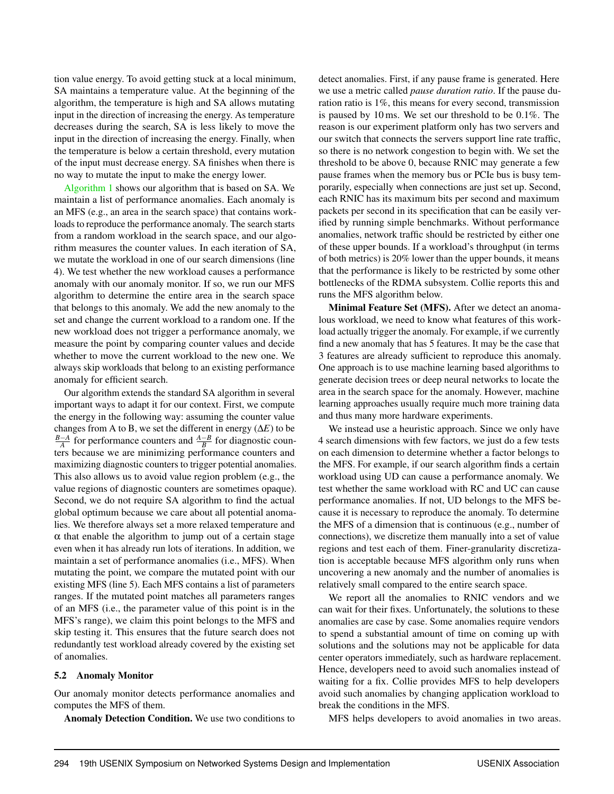tion value energy. To avoid getting stuck at a local minimum, SA maintains a temperature value. At the beginning of the algorithm, the temperature is high and SA allows mutating input in the direction of increasing the energy. As temperature decreases during the search, SA is less likely to move the input in the direction of increasing the energy. Finally, when the temperature is below a certain threshold, every mutation of the input must decrease energy. SA finishes when there is no way to mutate the input to make the energy lower.

[Algorithm 1](#page-7-2) shows our algorithm that is based on SA. We maintain a list of performance anomalies. Each anomaly is an MFS (e.g., an area in the search space) that contains workloads to reproduce the performance anomaly. The search starts from a random workload in the search space, and our algorithm measures the counter values. In each iteration of SA, we mutate the workload in one of our search dimensions (line 4). We test whether the new workload causes a performance anomaly with our anomaly monitor. If so, we run our MFS algorithm to determine the entire area in the search space that belongs to this anomaly. We add the new anomaly to the set and change the current workload to a random one. If the new workload does not trigger a performance anomaly, we measure the point by comparing counter values and decide whether to move the current workload to the new one. We always skip workloads that belong to an existing performance anomaly for efficient search.

Our algorithm extends the standard SA algorithm in several important ways to adapt it for our context. First, we compute the energy in the following way: assuming the counter value changes from A to B, we set the different in energy (∆*E*) to be  $\frac{B-A}{A}$  for performance counters and  $\frac{A-B}{B}$  for diagnostic counters because we are minimizing performance counters and maximizing diagnostic counters to trigger potential anomalies. This also allows us to avoid value region problem (e.g., the value regions of diagnostic counters are sometimes opaque). Second, we do not require SA algorithm to find the actual global optimum because we care about all potential anomalies. We therefore always set a more relaxed temperature and  $\alpha$  that enable the algorithm to jump out of a certain stage even when it has already run lots of iterations. In addition, we maintain a set of performance anomalies (i.e., MFS). When mutating the point, we compare the mutated point with our existing MFS (line 5). Each MFS contains a list of parameters ranges. If the mutated point matches all parameters ranges of an MFS (i.e., the parameter value of this point is in the MFS's range), we claim this point belongs to the MFS and skip testing it. This ensures that the future search does not redundantly test workload already covered by the existing set of anomalies.

#### <span id="page-8-0"></span>5.2 Anomaly Monitor

Our anomaly monitor detects performance anomalies and computes the MFS of them.

Anomaly Detection Condition. We use two conditions to

detect anomalies. First, if any pause frame is generated. Here we use a metric called *pause duration ratio*. If the pause duration ratio is 1%, this means for every second, transmission is paused by 10 ms. We set our threshold to be 0.1%. The reason is our experiment platform only has two servers and our switch that connects the servers support line rate traffic, so there is no network congestion to begin with. We set the threshold to be above 0, because RNIC may generate a few pause frames when the memory bus or PCIe bus is busy temporarily, especially when connections are just set up. Second, each RNIC has its maximum bits per second and maximum packets per second in its specification that can be easily verified by running simple benchmarks. Without performance anomalies, network traffic should be restricted by either one of these upper bounds. If a workload's throughput (in terms of both metrics) is 20% lower than the upper bounds, it means that the performance is likely to be restricted by some other bottlenecks of the RDMA subsystem. Collie reports this and runs the MFS algorithm below.

Minimal Feature Set (MFS). After we detect an anomalous workload, we need to know what features of this workload actually trigger the anomaly. For example, if we currently find a new anomaly that has 5 features. It may be the case that 3 features are already sufficient to reproduce this anomaly. One approach is to use machine learning based algorithms to generate decision trees or deep neural networks to locate the area in the search space for the anomaly. However, machine learning approaches usually require much more training data and thus many more hardware experiments.

We instead use a heuristic approach. Since we only have 4 search dimensions with few factors, we just do a few tests on each dimension to determine whether a factor belongs to the MFS. For example, if our search algorithm finds a certain workload using UD can cause a performance anomaly. We test whether the same workload with RC and UC can cause performance anomalies. If not, UD belongs to the MFS because it is necessary to reproduce the anomaly. To determine the MFS of a dimension that is continuous (e.g., number of connections), we discretize them manually into a set of value regions and test each of them. Finer-granularity discretization is acceptable because MFS algorithm only runs when uncovering a new anomaly and the number of anomalies is relatively small compared to the entire search space.

We report all the anomalies to RNIC vendors and we can wait for their fixes. Unfortunately, the solutions to these anomalies are case by case. Some anomalies require vendors to spend a substantial amount of time on coming up with solutions and the solutions may not be applicable for data center operators immediately, such as hardware replacement. Hence, developers need to avoid such anomalies instead of waiting for a fix. Collie provides MFS to help developers avoid such anomalies by changing application workload to break the conditions in the MFS.

MFS helps developers to avoid anomalies in two areas.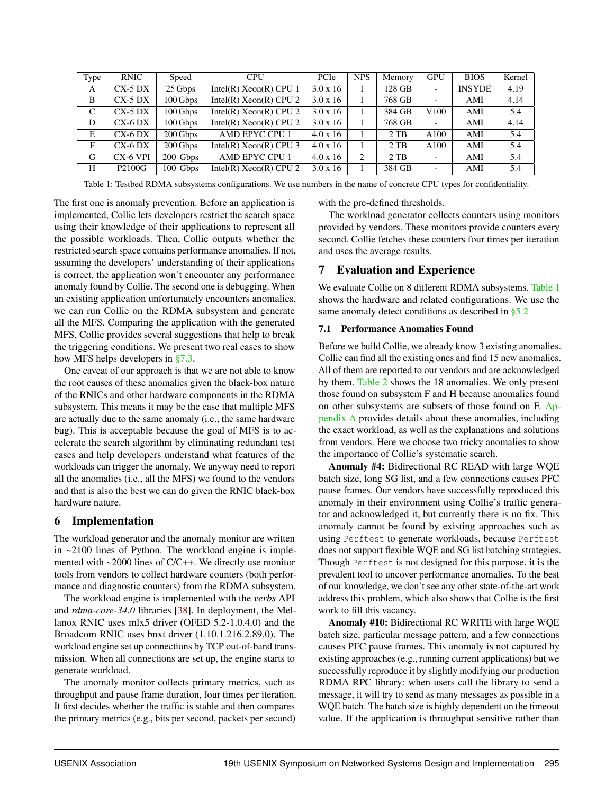<span id="page-9-1"></span>

| Type | <b>RNIC</b>        | Speed      | <b>CPU</b>               | PCIe            | <b>NPS</b> | Memory | <b>GPU</b>               | <b>BIOS</b>   | Kernel |
|------|--------------------|------------|--------------------------|-----------------|------------|--------|--------------------------|---------------|--------|
| A    | $CX-5DX$           | 25 Gbps    | Intel(R) $Xeon(R) CPU 1$ | $3.0 \times 16$ |            | 128 GB |                          | <b>INSYDE</b> | 4.19   |
| B    | $CX-5DX$           | 100 Gbps   | Intel(R) $Xeon(R) CPU 2$ | $3.0 \times 16$ |            | 768 GB | $\overline{\phantom{a}}$ | AMI           | 4.14   |
| C    | $CX-5DX$           | 100Gbps    | Intel(R) $Xeon(R) CPU 2$ | $3.0 \times 16$ |            | 384 GB | V <sub>100</sub>         | AMI           | 5.4    |
| D    | $CX-6$ DX          | 100 Gbps   | Intel(R) $Xeon(R) CPU 2$ | $3.0 \times 16$ |            | 768 GB | $\overline{\phantom{a}}$ | AMI           | 4.14   |
| E    | $CX-6$ DX          | $200$ Gbps | AMD EPYC CPU 1           | $4.0 \times 16$ |            | $2$ TB | A100                     | AMI           | 5.4    |
| F    | $CX-6$ DX          | 200 Gbps   | Intel(R) $Xeon(R) CPU 3$ | $4.0 \times 16$ |            | $2$ TB | A100                     | AMI           | 5.4    |
| G    | CX-6 VPI           | 200 Gbps   | AMD EPYC CPU 1           | $4.0 \times 16$ | 2          | $2$ TB |                          | AMI           | 5.4    |
| H    | P <sub>2100G</sub> | 100 Gbps   | Intel(R) $Xeon(R) CPU 2$ | $3.0 \times 16$ |            | 384 GB |                          | AMI           | 5.4    |

Table 1: Testbed RDMA subsystems configurations. We use numbers in the name of concrete CPU types for confidentiality.

The first one is anomaly prevention. Before an application is implemented, Collie lets developers restrict the search space using their knowledge of their applications to represent all the possible workloads. Then, Collie outputs whether the restricted search space contains performance anomalies. If not, assuming the developers' understanding of their applications is correct, the application won't encounter any performance anomaly found by Collie. The second one is debugging. When an existing application unfortunately encounters anomalies, we can run Collie on the RDMA subsystem and generate all the MFS. Comparing the application with the generated MFS, Collie provides several suggestions that help to break the triggering conditions. We present two real cases to show how MFS helps developers in [§7.3.](#page-11-0)

One caveat of our approach is that we are not able to know the root causes of these anomalies given the black-box nature of the RNICs and other hardware components in the RDMA subsystem. This means it may be the case that multiple MFS are actually due to the same anomaly (i.e., the same hardware bug). This is acceptable because the goal of MFS is to accelerate the search algorithm by eliminating redundant test cases and help developers understand what features of the workloads can trigger the anomaly. We anyway need to report all the anomalies (i.e., all the MFS) we found to the vendors and that is also the best we can do given the RNIC black-box hardware nature.

# 6 Implementation

The workload generator and the anomaly monitor are written in  $\sim$ 2100 lines of Python. The workload engine is implemented with ~2000 lines of C/C++. We directly use monitor tools from vendors to collect hardware counters (both performance and diagnostic counters) from the RDMA subsystem.

The workload engine is implemented with the *verbs* API and *rdma-core-34.0* libraries [\[38\]](#page-15-12). In deployment, the Mellanox RNIC uses mlx5 driver (OFED 5.2-1.0.4.0) and the Broadcom RNIC uses bnxt driver (1.10.1.216.2.89.0). The workload engine set up connections by TCP out-of-band transmission. When all connections are set up, the engine starts to generate workload.

The anomaly monitor collects primary metrics, such as throughput and pause frame duration, four times per iteration. It first decides whether the traffic is stable and then compares the primary metrics (e.g., bits per second, packets per second) with the pre-defined thresholds.

The workload generator collects counters using monitors provided by vendors. These monitors provide counters every second. Collie fetches these counters four times per iteration and uses the average results.

# <span id="page-9-0"></span>7 Evaluation and Experience

We evaluate Collie on 8 different RDMA subsystems. [Table 1](#page-9-1) shows the hardware and related configurations. We use the same anomaly detect conditions as described in [§5.2](#page-8-0)

# 7.1 Performance Anomalies Found

Before we build Collie, we already know 3 existing anomalies. Collie can find all the existing ones and find 15 new anomalies. All of them are reported to our vendors and are acknowledged by them. [Table 2](#page-10-0) shows the 18 anomalies. We only present those found on subsystem F and H because anomalies found on other subsystems are subsets of those found on F. [Ap](#page-16-0)[pendix A](#page-16-0) provides details about these anomalies, including the exact workload, as well as the explanations and solutions from vendors. Here we choose two tricky anomalies to show the importance of Collie's systematic search.

Anomaly #4: Bidirectional RC READ with large WQE batch size, long SG list, and a few connections causes PFC pause frames. Our vendors have successfully reproduced this anomaly in their environment using Collie's traffic generator and acknowledged it, but currently there is no fix. This anomaly cannot be found by existing approaches such as using Perftest to generate workloads, because Perftest does not support flexible WQE and SG list batching strategies. Though Perftest is not designed for this purpose, it is the prevalent tool to uncover performance anomalies. To the best of our knowledge, we don't see any other state-of-the-art work address this problem, which also shows that Collie is the first work to fill this vacancy.

Anomaly #10: Bidirectional RC WRITE with large WQE batch size, particular message pattern, and a few connections causes PFC pause frames. This anomaly is not captured by existing approaches (e.g., running current applications) but we successfully reproduce it by slightly modifying our production RDMA RPC library: when users call the library to send a message, it will try to send as many messages as possible in a WQE batch. The batch size is highly dependent on the timeout value. If the application is throughput sensitive rather than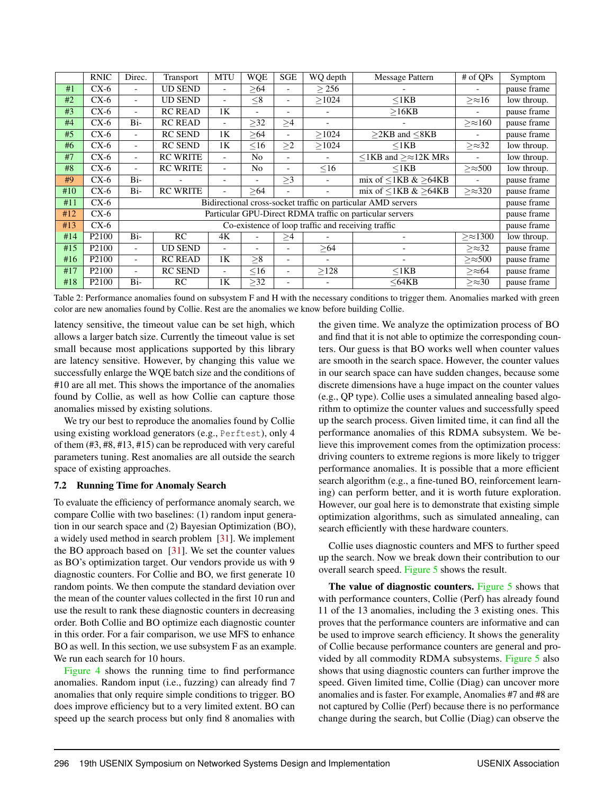<span id="page-10-0"></span>

|     | <b>RNIC</b>        | Direc.                                                       | Transport       | <b>MTU</b>               | <b>WQE</b>               | <b>SGE</b>               | WQ depth                 | Message Pattern                       | # of QPs          | Symptom     |
|-----|--------------------|--------------------------------------------------------------|-----------------|--------------------------|--------------------------|--------------------------|--------------------------|---------------------------------------|-------------------|-------------|
| #1  | $CX-6$             |                                                              | <b>UD SEND</b>  | $\overline{\phantom{a}}$ | >64                      |                          | > 256                    |                                       |                   | pause frame |
| #2  | $CX-6$             | $\blacksquare$                                               | <b>UD SEND</b>  | $\blacksquare$           | $\leq 8$                 | $\overline{\phantom{a}}$ | >1024                    | $<$ 1 $KB$                            | $>\approx 16$     | low throup. |
| #3  | $CX-6$             | $\overline{a}$                                               | <b>RC READ</b>  | 1 <sub>K</sub>           | $\overline{\phantom{0}}$ | $\overline{\phantom{0}}$ |                          | >16KB                                 |                   | pause frame |
| #4  | $CX-6$             | Bi-                                                          | <b>RC READ</b>  | $\blacksquare$           | $\geq$ 32                | $\geq$ 4                 |                          |                                       | $>\approx 160$    | pause frame |
| #5  | $CX-6$             | $\blacksquare$                                               | <b>RC SEND</b>  | 1K                       | > 64                     | $\overline{\phantom{0}}$ | >1024                    | $\geq$ 2KB and $\leq$ 8KB             |                   | pause frame |
| #6  | $CX-6$             | $\overline{\phantom{0}}$                                     | <b>RC SEND</b>  | 1 <sub>K</sub>           | $\leq 16$                | $\geq$ 2                 | >1024                    | $\leq$ 1KB                            | $\geq \approx 32$ | low throup. |
| #7  | $CX-6$             | $\blacksquare$                                               | <b>RC WRITE</b> | $\blacksquare$           | N <sub>o</sub>           | $\overline{\phantom{0}}$ |                          | $\leq$ 1KB and $\geq \approx$ 12K MRs |                   | low throup. |
| #8  | $CX-6$             | $\overline{\phantom{a}}$                                     | <b>RC WRITE</b> | $\overline{\phantom{0}}$ | N <sub>o</sub>           | $\overline{\phantom{0}}$ | $\leq$ 16                | $\leq$ 1KB                            | $>\approx$ 500    | low throup. |
| #9  | $CX-6$             | Bi-                                                          |                 | $\overline{\phantom{0}}$ |                          | >3                       |                          | mix of $\leq$ 1KB & $>$ 64KB          |                   | pause frame |
| #10 | $CX-6$             | Bi-                                                          | <b>RC WRITE</b> |                          | >64                      |                          |                          | mix of $\leq$ 1KB & $>$ 64KB          | $>\approx 320$    | pause frame |
| #11 | $CX-6$             | Bidirectional cross-socket traffic on particular AMD servers |                 |                          |                          |                          |                          |                                       |                   | pause frame |
| #12 | $CX-6$             | Particular GPU-Direct RDMA traffic on particular servers     |                 |                          |                          |                          |                          |                                       |                   | pause frame |
| #13 | $CX-6$             | Co-existence of loop traffic and receiving traffic           |                 |                          |                          |                          |                          |                                       |                   | pause frame |
| #14 | P <sub>2</sub> 100 | $Bi-$                                                        | RC              | 4K                       | $\overline{\phantom{0}}$ | $\geq$ 4                 |                          |                                       | $>\approx 1300$   | low throup. |
| #15 | P <sub>2</sub> 100 | $\blacksquare$                                               | <b>UD SEND</b>  | $\overline{\phantom{0}}$ | $\overline{\phantom{0}}$ |                          | $\geq 64$                | $\overline{\phantom{0}}$              | $>\approx 32$     | pause frame |
| #16 | P <sub>2</sub> 100 | $\overline{\phantom{a}}$                                     | <b>RC READ</b>  | 1 <sub>K</sub>           | >8                       | $\overline{\phantom{0}}$ | $\overline{\phantom{a}}$ | $\overline{\phantom{0}}$              | $>\approx$ 500    | pause frame |
| #17 | P <sub>2100</sub>  | $\overline{\phantom{0}}$                                     | <b>RC SEND</b>  | $\overline{\phantom{a}}$ | $\leq 16$                | $\overline{\phantom{0}}$ | $\geq$ 128               | $<$ 1 $KB$                            | $\geq \approx 64$ | pause frame |
| #18 | P <sub>2</sub> 100 | $Bi-$                                                        | <b>RC</b>       | 1K                       | $\geq$ 32                | $\overline{\phantom{0}}$ |                          | $64KB$                                | $\geq \approx 30$ | pause frame |

Table 2: Performance anomalies found on subsystem F and H with the necessary conditions to trigger them. Anomalies marked with green color are new anomalies found by Collie. Rest are the anomalies we know before building Collie.

latency sensitive, the timeout value can be set high, which allows a larger batch size. Currently the timeout value is set small because most applications supported by this library are latency sensitive. However, by changing this value we successfully enlarge the WQE batch size and the conditions of #10 are all met. This shows the importance of the anomalies found by Collie, as well as how Collie can capture those anomalies missed by existing solutions.

We try our best to reproduce the anomalies found by Collie using existing workload generators (e.g., Perftest), only 4 of them (#3, #8, #13, #15) can be reproduced with very careful parameters tuning. Rest anomalies are all outside the search space of existing approaches.

#### 7.2 Running Time for Anomaly Search

To evaluate the efficiency of performance anomaly search, we compare Collie with two baselines: (1) random input generation in our search space and (2) Bayesian Optimization (BO), a widely used method in search problem [\[31\]](#page-15-13). We implement the BO approach based on  $[31]$ . We set the counter values as BO's optimization target. Our vendors provide us with 9 diagnostic counters. For Collie and BO, we first generate 10 random points. We then compute the standard deviation over the mean of the counter values collected in the first 10 run and use the result to rank these diagnostic counters in decreasing order. Both Collie and BO optimize each diagnostic counter in this order. For a fair comparison, we use MFS to enhance BO as well. In this section, we use subsystem F as an example. We run each search for 10 hours.

[Figure 4](#page-11-1) shows the running time to find performance anomalies. Random input (i.e., fuzzing) can already find 7 anomalies that only require simple conditions to trigger. BO does improve efficiency but to a very limited extent. BO can speed up the search process but only find 8 anomalies with

the given time. We analyze the optimization process of BO and find that it is not able to optimize the corresponding counters. Our guess is that BO works well when counter values are smooth in the search space. However, the counter values in our search space can have sudden changes, because some discrete dimensions have a huge impact on the counter values (e.g., QP type). Collie uses a simulated annealing based algorithm to optimize the counter values and successfully speed up the search process. Given limited time, it can find all the performance anomalies of this RDMA subsystem. We believe this improvement comes from the optimization process: driving counters to extreme regions is more likely to trigger performance anomalies. It is possible that a more efficient search algorithm (e.g., a fine-tuned BO, reinforcement learning) can perform better, and it is worth future exploration. However, our goal here is to demonstrate that existing simple optimization algorithms, such as simulated annealing, can search efficiently with these hardware counters.

Collie uses diagnostic counters and MFS to further speed up the search. Now we break down their contribution to our overall search speed. [Figure 5](#page-11-2) shows the result.

The value of diagnostic counters. [Figure 5](#page-11-2) shows that with performance counters, Collie (Perf) has already found 11 of the 13 anomalies, including the 3 existing ones. This proves that the performance counters are informative and can be used to improve search efficiency. It shows the generality of Collie because performance counters are general and provided by all commodity RDMA subsystems. [Figure 5](#page-11-2) also shows that using diagnostic counters can further improve the speed. Given limited time, Collie (Diag) can uncover more anomalies and is faster. For example, Anomalies #7 and #8 are not captured by Collie (Perf) because there is no performance change during the search, but Collie (Diag) can observe the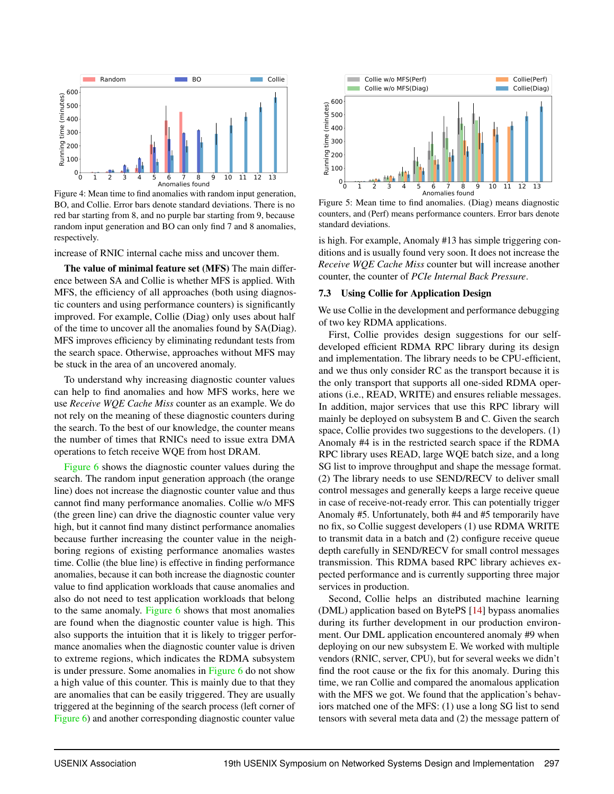<span id="page-11-1"></span>

Figure 4: Mean time to find anomalies with random input generation, BO, and Collie. Error bars denote standard deviations. There is no red bar starting from 8, and no purple bar starting from 9, because random input generation and BO can only find 7 and 8 anomalies, respectively.

increase of RNIC internal cache miss and uncover them.

The value of minimal feature set (MFS) The main difference between SA and Collie is whether MFS is applied. With MFS, the efficiency of all approaches (both using diagnostic counters and using performance counters) is significantly improved. For example, Collie (Diag) only uses about half of the time to uncover all the anomalies found by SA(Diag). MFS improves efficiency by eliminating redundant tests from the search space. Otherwise, approaches without MFS may be stuck in the area of an uncovered anomaly.

To understand why increasing diagnostic counter values can help to find anomalies and how MFS works, here we use *Receive WQE Cache Miss* counter as an example. We do not rely on the meaning of these diagnostic counters during the search. To the best of our knowledge, the counter means the number of times that RNICs need to issue extra DMA operations to fetch receive WQE from host DRAM.

[Figure 6](#page-12-0) shows the diagnostic counter values during the search. The random input generation approach (the orange line) does not increase the diagnostic counter value and thus cannot find many performance anomalies. Collie w/o MFS (the green line) can drive the diagnostic counter value very high, but it cannot find many distinct performance anomalies because further increasing the counter value in the neighboring regions of existing performance anomalies wastes time. Collie (the blue line) is effective in finding performance anomalies, because it can both increase the diagnostic counter value to find application workloads that cause anomalies and also do not need to test application workloads that belong to the same anomaly. [Figure 6](#page-12-0) shows that most anomalies are found when the diagnostic counter value is high. This also supports the intuition that it is likely to trigger performance anomalies when the diagnostic counter value is driven to extreme regions, which indicates the RDMA subsystem is under pressure. Some anomalies in [Figure 6](#page-12-0) do not show a high value of this counter. This is mainly due to that they are anomalies that can be easily triggered. They are usually triggered at the beginning of the search process (left corner of [Figure 6\)](#page-12-0) and another corresponding diagnostic counter value

<span id="page-11-2"></span>

Figure 5: Mean time to find anomalies. (Diag) means diagnostic counters, and (Perf) means performance counters. Error bars denote standard deviations.

is high. For example, Anomaly #13 has simple triggering conditions and is usually found very soon. It does not increase the *Receive WQE Cache Miss* counter but will increase another counter, the counter of *PCIe Internal Back Pressure*.

#### <span id="page-11-0"></span>7.3 Using Collie for Application Design

We use Collie in the development and performance debugging of two key RDMA applications.

First, Collie provides design suggestions for our selfdeveloped efficient RDMA RPC library during its design and implementation. The library needs to be CPU-efficient, and we thus only consider RC as the transport because it is the only transport that supports all one-sided RDMA operations (i.e., READ, WRITE) and ensures reliable messages. In addition, major services that use this RPC library will mainly be deployed on subsystem B and C. Given the search space, Collie provides two suggestions to the developers. (1) Anomaly #4 is in the restricted search space if the RDMA RPC library uses READ, large WQE batch size, and a long SG list to improve throughput and shape the message format. (2) The library needs to use SEND/RECV to deliver small control messages and generally keeps a large receive queue in case of receive-not-ready error. This can potentially trigger Anomaly #5. Unfortunately, both #4 and #5 temporarily have no fix, so Collie suggest developers (1) use RDMA WRITE to transmit data in a batch and (2) configure receive queue depth carefully in SEND/RECV for small control messages transmission. This RDMA based RPC library achieves expected performance and is currently supporting three major services in production.

Second, Collie helps an distributed machine learning (DML) application based on BytePS [\[14\]](#page-14-5) bypass anomalies during its further development in our production environment. Our DML application encountered anomaly #9 when deploying on our new subsystem E. We worked with multiple vendors (RNIC, server, CPU), but for several weeks we didn't find the root cause or the fix for this anomaly. During this time, we ran Collie and compared the anomalous application with the MFS we got. We found that the application's behaviors matched one of the MFS: (1) use a long SG list to send tensors with several meta data and (2) the message pattern of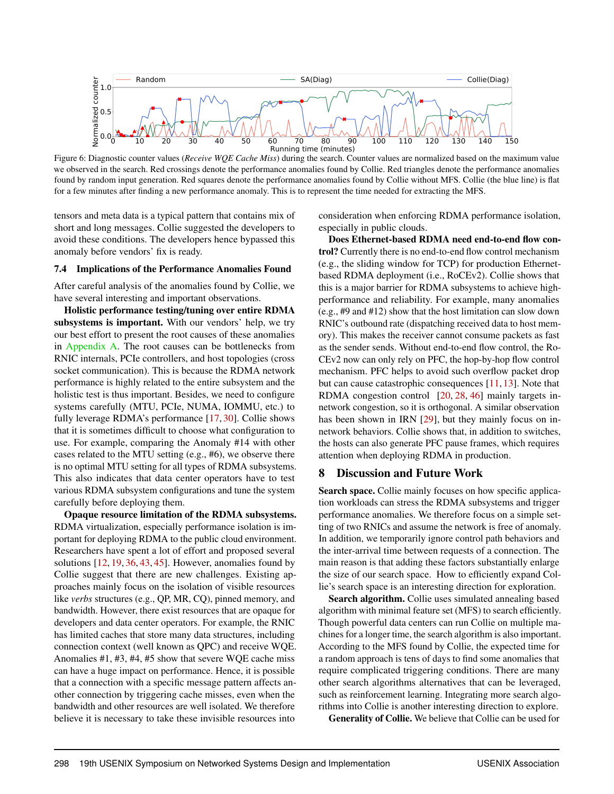<span id="page-12-0"></span>

Figure 6: Diagnostic counter values (*Receive WQE Cache Miss*) during the search. Counter values are normalized based on the maximum value we observed in the search. Red crossings denote the performance anomalies found by Collie. Red triangles denote the performance anomalies found by random input generation. Red squares denote the performance anomalies found by Collie without MFS. Collie (the blue line) is flat for a few minutes after finding a new performance anomaly. This is to represent the time needed for extracting the MFS.

tensors and meta data is a typical pattern that contains mix of short and long messages. Collie suggested the developers to avoid these conditions. The developers hence bypassed this anomaly before vendors' fix is ready.

#### <span id="page-12-1"></span>7.4 Implications of the Performance Anomalies Found

After careful analysis of the anomalies found by Collie, we have several interesting and important observations.

Holistic performance testing/tuning over entire RDMA subsystems is important. With our vendors' help, we try our best effort to present the root causes of these anomalies in [Appendix A.](#page-16-0) The root causes can be bottlenecks from RNIC internals, PCIe controllers, and host topologies (cross socket communication). This is because the RDMA network performance is highly related to the entire subsystem and the holistic test is thus important. Besides, we need to configure systems carefully (MTU, PCIe, NUMA, IOMMU, etc.) to fully leverage RDMA's performance [\[17,](#page-14-13) [30\]](#page-15-14). Collie shows that it is sometimes difficult to choose what configuration to use. For example, comparing the Anomaly #14 with other cases related to the MTU setting (e.g., #6), we observe there is no optimal MTU setting for all types of RDMA subsystems. This also indicates that data center operators have to test various RDMA subsystem configurations and tune the system carefully before deploying them.

Opaque resource limitation of the RDMA subsystems. RDMA virtualization, especially performance isolation is important for deploying RDMA to the public cloud environment. Researchers have spent a lot of effort and proposed several solutions [\[12,](#page-14-15) [19,](#page-14-16) [36,](#page-15-15) [43,](#page-15-16) [45\]](#page-15-17). However, anomalies found by Collie suggest that there are new challenges. Existing approaches mainly focus on the isolation of visible resources like *verbs* structures (e.g., QP, MR, CQ), pinned memory, and bandwidth. However, there exist resources that are opaque for developers and data center operators. For example, the RNIC has limited caches that store many data structures, including connection context (well known as QPC) and receive WQE. Anomalies #1, #3, #4, #5 show that severe WQE cache miss can have a huge impact on performance. Hence, it is possible that a connection with a specific message pattern affects another connection by triggering cache misses, even when the bandwidth and other resources are well isolated. We therefore believe it is necessary to take these invisible resources into

consideration when enforcing RDMA performance isolation, especially in public clouds.

Does Ethernet-based RDMA need end-to-end flow control? Currently there is no end-to-end flow control mechanism (e.g., the sliding window for TCP) for production Ethernetbased RDMA deployment (i.e., RoCEv2). Collie shows that this is a major barrier for RDMA subsystems to achieve highperformance and reliability. For example, many anomalies (e.g., #9 and #12) show that the host limitation can slow down RNIC's outbound rate (dispatching received data to host memory). This makes the receiver cannot consume packets as fast as the sender sends. Without end-to-end flow control, the Ro-CEv2 now can only rely on PFC, the hop-by-hop flow control mechanism. PFC helps to avoid such overflow packet drop but can cause catastrophic consequences [\[11,](#page-14-0) [13\]](#page-14-6). Note that RDMA congestion control [\[20,](#page-14-1) [28,](#page-15-7) [46\]](#page-15-0) mainly targets innetwork congestion, so it is orthogonal. A similar observation has been shown in IRN [\[29\]](#page-15-18), but they mainly focus on innetwork behaviors. Collie shows that, in addition to switches, the hosts can also generate PFC pause frames, which requires attention when deploying RDMA in production.

## 8 Discussion and Future Work

Search space. Collie mainly focuses on how specific application workloads can stress the RDMA subsystems and trigger performance anomalies. We therefore focus on a simple setting of two RNICs and assume the network is free of anomaly. In addition, we temporarily ignore control path behaviors and the inter-arrival time between requests of a connection. The main reason is that adding these factors substantially enlarge the size of our search space. How to efficiently expand Collie's search space is an interesting direction for exploration.

Search algorithm. Collie uses simulated annealing based algorithm with minimal feature set (MFS) to search efficiently. Though powerful data centers can run Collie on multiple machines for a longer time, the search algorithm is also important. According to the MFS found by Collie, the expected time for a random approach is tens of days to find some anomalies that require complicated triggering conditions. There are many other search algorithms alternatives that can be leveraged, such as reinforcement learning. Integrating more search algorithms into Collie is another interesting direction to explore.

Generality of Collie. We believe that Collie can be used for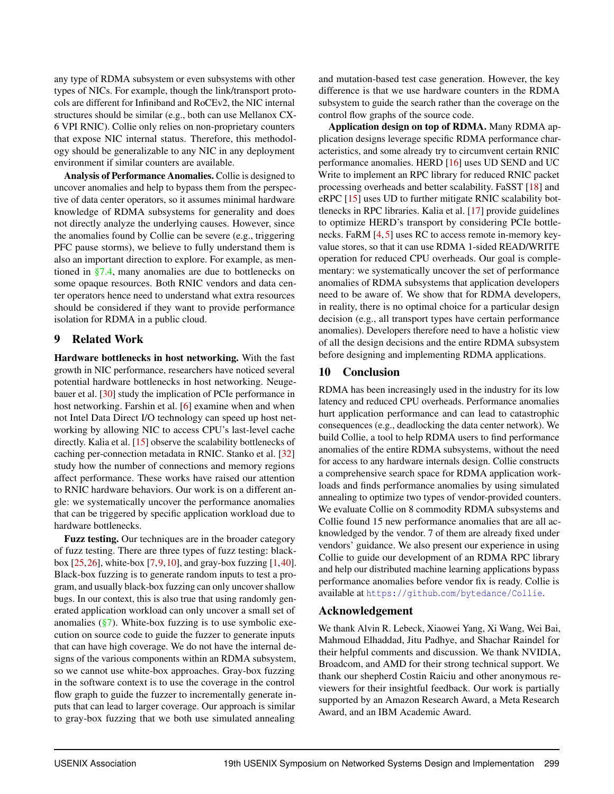any type of RDMA subsystem or even subsystems with other types of NICs. For example, though the link/transport protocols are different for Infiniband and RoCEv2, the NIC internal structures should be similar (e.g., both can use Mellanox CX-6 VPI RNIC). Collie only relies on non-proprietary counters that expose NIC internal status. Therefore, this methodology should be generalizable to any NIC in any deployment environment if similar counters are available.

Analysis of Performance Anomalies. Collie is designed to uncover anomalies and help to bypass them from the perspective of data center operators, so it assumes minimal hardware knowledge of RDMA subsystems for generality and does not directly analyze the underlying causes. However, since the anomalies found by Collie can be severe (e.g., triggering PFC pause storms), we believe to fully understand them is also an important direction to explore. For example, as mentioned in [§7.4,](#page-12-1) many anomalies are due to bottlenecks on some opaque resources. Both RNIC vendors and data center operators hence need to understand what extra resources should be considered if they want to provide performance isolation for RDMA in a public cloud.

# 9 Related Work

Hardware bottlenecks in host networking. With the fast growth in NIC performance, researchers have noticed several potential hardware bottlenecks in host networking. Neugebauer et al. [\[30\]](#page-15-14) study the implication of PCIe performance in host networking. Farshin et al. [\[6\]](#page-14-17) examine when and when not Intel Data Direct I/O technology can speed up host networking by allowing NIC to access CPU's last-level cache directly. Kalia et al. [\[15\]](#page-14-12) observe the scalability bottlenecks of caching per-connection metadata in RNIC. Stanko et al. [\[32\]](#page-15-3) study how the number of connections and memory regions affect performance. These works have raised our attention to RNIC hardware behaviors. Our work is on a different angle: we systematically uncover the performance anomalies that can be triggered by specific application workload due to hardware bottlenecks.

Fuzz testing. Our techniques are in the broader category of fuzz testing. There are three types of fuzz testing: blackbox  $[25, 26]$  $[25, 26]$  $[25, 26]$ , white-box  $[7, 9, 10]$  $[7, 9, 10]$  $[7, 9, 10]$  $[7, 9, 10]$  $[7, 9, 10]$ , and gray-box fuzzing  $[1, 40]$  $[1, 40]$  $[1, 40]$ . Black-box fuzzing is to generate random inputs to test a program, and usually black-box fuzzing can only uncover shallow bugs. In our context, this is also true that using randomly generated application workload can only uncover a small set of anomalies  $(\frac{8}{3})$ . White-box fuzzing is to use symbolic execution on source code to guide the fuzzer to generate inputs that can have high coverage. We do not have the internal designs of the various components within an RDMA subsystem, so we cannot use white-box approaches. Gray-box fuzzing in the software context is to use the coverage in the control flow graph to guide the fuzzer to incrementally generate inputs that can lead to larger coverage. Our approach is similar to gray-box fuzzing that we both use simulated annealing

and mutation-based test case generation. However, the key difference is that we use hardware counters in the RDMA subsystem to guide the search rather than the coverage on the control flow graphs of the source code.

Application design on top of RDMA. Many RDMA application designs leverage specific RDMA performance characteristics, and some already try to circumvent certain RNIC performance anomalies. HERD [\[16\]](#page-14-4) uses UD SEND and UC Write to implement an RPC library for reduced RNIC packet processing overheads and better scalability. FaSST [\[18\]](#page-14-23) and eRPC [\[15\]](#page-14-12) uses UD to further mitigate RNIC scalability bottlenecks in RPC libraries. Kalia et al. [\[17\]](#page-14-13) provide guidelines to optimize HERD's transport by considering PCIe bottlenecks. FaRM [\[4,](#page-14-3) [5\]](#page-14-24) uses RC to access remote in-memory keyvalue stores, so that it can use RDMA 1-sided READ/WRITE operation for reduced CPU overheads. Our goal is complementary: we systematically uncover the set of performance anomalies of RDMA subsystems that application developers need to be aware of. We show that for RDMA developers, in reality, there is no optimal choice for a particular design decision (e.g., all transport types have certain performance anomalies). Developers therefore need to have a holistic view of all the design decisions and the entire RDMA subsystem before designing and implementing RDMA applications.

# 10 Conclusion

RDMA has been increasingly used in the industry for its low latency and reduced CPU overheads. Performance anomalies hurt application performance and can lead to catastrophic consequences (e.g., deadlocking the data center network). We build Collie, a tool to help RDMA users to find performance anomalies of the entire RDMA subsystems, without the need for access to any hardware internals design. Collie constructs a comprehensive search space for RDMA application workloads and finds performance anomalies by using simulated annealing to optimize two types of vendor-provided counters. We evaluate Collie on 8 commodity RDMA subsystems and Collie found 15 new performance anomalies that are all acknowledged by the vendor. 7 of them are already fixed under vendors' guidance. We also present our experience in using Collie to guide our development of an RDMA RPC library and help our distributed machine learning applications bypass performance anomalies before vendor fix is ready. Collie is available at https://github.[com/bytedance/Collie](https://github.com/bytedance/Collie).

# Acknowledgement

We thank Alvin R. Lebeck, Xiaowei Yang, Xi Wang, Wei Bai, Mahmoud Elhaddad, Jitu Padhye, and Shachar Raindel for their helpful comments and discussion. We thank NVIDIA, Broadcom, and AMD for their strong technical support. We thank our shepherd Costin Raiciu and other anonymous reviewers for their insightful feedback. Our work is partially supported by an Amazon Research Award, a Meta Research Award, and an IBM Academic Award.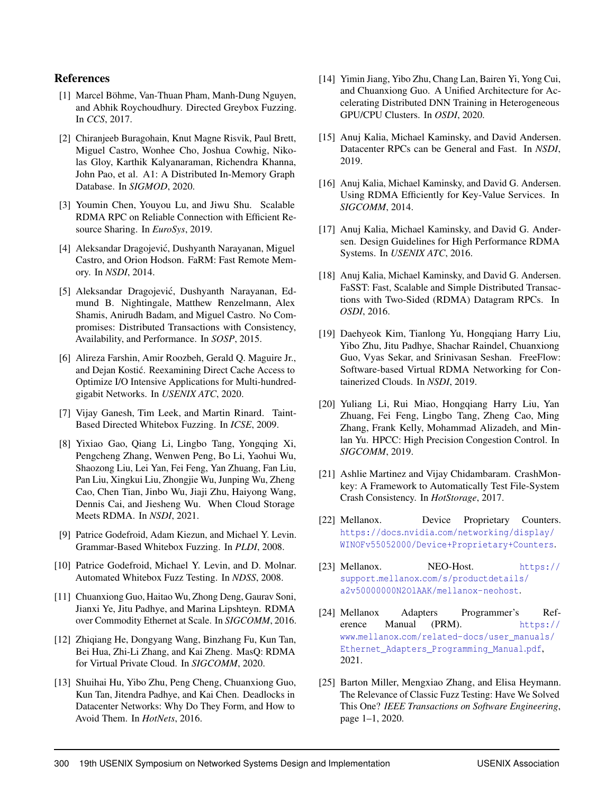# References

- <span id="page-14-22"></span>[1] Marcel Böhme, Van-Thuan Pham, Manh-Dung Nguyen, and Abhik Roychoudhury. Directed Greybox Fuzzing. In *CCS*, 2017.
- <span id="page-14-2"></span>[2] Chiranjeeb Buragohain, Knut Magne Risvik, Paul Brett, Miguel Castro, Wonhee Cho, Joshua Cowhig, Nikolas Gloy, Karthik Kalyanaraman, Richendra Khanna, John Pao, et al. A1: A Distributed In-Memory Graph Database. In *SIGMOD*, 2020.
- <span id="page-14-11"></span>[3] Youmin Chen, Youyou Lu, and Jiwu Shu. Scalable RDMA RPC on Reliable Connection with Efficient Resource Sharing. In *EuroSys*, 2019.
- <span id="page-14-3"></span>[4] Aleksandar Dragojević, Dushyanth Narayanan, Miguel Castro, and Orion Hodson. FaRM: Fast Remote Memory. In *NSDI*, 2014.
- <span id="page-14-24"></span>[5] Aleksandar Dragojevic, Dushyanth Narayanan, Ed- ´ mund B. Nightingale, Matthew Renzelmann, Alex Shamis, Anirudh Badam, and Miguel Castro. No Compromises: Distributed Transactions with Consistency, Availability, and Performance. In *SOSP*, 2015.
- <span id="page-14-17"></span>[6] Alireza Farshin, Amir Roozbeh, Gerald Q. Maguire Jr., and Dejan Kostic. Reexamining Direct Cache Access to ´ Optimize I/O Intensive Applications for Multi-hundredgigabit Networks. In *USENIX ATC*, 2020.
- <span id="page-14-19"></span>[7] Vijay Ganesh, Tim Leek, and Martin Rinard. Taint-Based Directed Whitebox Fuzzing. In *ICSE*, 2009.
- <span id="page-14-7"></span>[8] Yixiao Gao, Qiang Li, Lingbo Tang, Yongqing Xi, Pengcheng Zhang, Wenwen Peng, Bo Li, Yaohui Wu, Shaozong Liu, Lei Yan, Fei Feng, Yan Zhuang, Fan Liu, Pan Liu, Xingkui Liu, Zhongjie Wu, Junping Wu, Zheng Cao, Chen Tian, Jinbo Wu, Jiaji Zhu, Haiyong Wang, Dennis Cai, and Jiesheng Wu. When Cloud Storage Meets RDMA. In *NSDI*, 2021.
- <span id="page-14-20"></span>[9] Patrice Godefroid, Adam Kiezun, and Michael Y. Levin. Grammar-Based Whitebox Fuzzing. In *PLDI*, 2008.
- <span id="page-14-21"></span>[10] Patrice Godefroid, Michael Y. Levin, and D. Molnar. Automated Whitebox Fuzz Testing. In *NDSS*, 2008.
- <span id="page-14-0"></span>[11] Chuanxiong Guo, Haitao Wu, Zhong Deng, Gaurav Soni, Jianxi Ye, Jitu Padhye, and Marina Lipshteyn. RDMA over Commodity Ethernet at Scale. In *SIGCOMM*, 2016.
- <span id="page-14-15"></span>[12] Zhiqiang He, Dongyang Wang, Binzhang Fu, Kun Tan, Bei Hua, Zhi-Li Zhang, and Kai Zheng. MasQ: RDMA for Virtual Private Cloud. In *SIGCOMM*, 2020.
- <span id="page-14-6"></span>[13] Shuihai Hu, Yibo Zhu, Peng Cheng, Chuanxiong Guo, Kun Tan, Jitendra Padhye, and Kai Chen. Deadlocks in Datacenter Networks: Why Do They Form, and How to Avoid Them. In *HotNets*, 2016.
- <span id="page-14-5"></span>[14] Yimin Jiang, Yibo Zhu, Chang Lan, Bairen Yi, Yong Cui, and Chuanxiong Guo. A Unified Architecture for Accelerating Distributed DNN Training in Heterogeneous GPU/CPU Clusters. In *OSDI*, 2020.
- <span id="page-14-12"></span>[15] Anuj Kalia, Michael Kaminsky, and David Andersen. Datacenter RPCs can be General and Fast. In *NSDI*, 2019.
- <span id="page-14-4"></span>[16] Anuj Kalia, Michael Kaminsky, and David G. Andersen. Using RDMA Efficiently for Key-Value Services. In *SIGCOMM*, 2014.
- <span id="page-14-13"></span>[17] Anuj Kalia, Michael Kaminsky, and David G. Andersen. Design Guidelines for High Performance RDMA Systems. In *USENIX ATC*, 2016.
- <span id="page-14-23"></span>[18] Anuj Kalia, Michael Kaminsky, and David G. Andersen. FaSST: Fast, Scalable and Simple Distributed Transactions with Two-Sided (RDMA) Datagram RPCs. In *OSDI*, 2016.
- <span id="page-14-16"></span>[19] Daehyeok Kim, Tianlong Yu, Hongqiang Harry Liu, Yibo Zhu, Jitu Padhye, Shachar Raindel, Chuanxiong Guo, Vyas Sekar, and Srinivasan Seshan. FreeFlow: Software-based Virtual RDMA Networking for Containerized Clouds. In *NSDI*, 2019.
- <span id="page-14-1"></span>[20] Yuliang Li, Rui Miao, Hongqiang Harry Liu, Yan Zhuang, Fei Feng, Lingbo Tang, Zheng Cao, Ming Zhang, Frank Kelly, Mohammad Alizadeh, and Minlan Yu. HPCC: High Precision Congestion Control. In *SIGCOMM*, 2019.
- <span id="page-14-14"></span>[21] Ashlie Martinez and Vijay Chidambaram. CrashMonkey: A Framework to Automatically Test File-System Crash Consistency. In *HotStorage*, 2017.
- <span id="page-14-9"></span>[22] Mellanox. Device Proprietary Counters. https://docs.nvidia.[com/networking/display/](https://docs.nvidia.com/networking/display/WINOFv55052000/Device+Proprietary+Counters) [WINOFv55052000/Device+Proprietary+Counters](https://docs.nvidia.com/networking/display/WINOFv55052000/Device+Proprietary+Counters).
- <span id="page-14-10"></span>[23] Mellanox. NEO-Host. [https://](https://support.mellanox.com/s/productdetails/a2v50000000N2OlAAK/mellanox-neohost) support.mellanox.[com/s/productdetails/](https://support.mellanox.com/s/productdetails/a2v50000000N2OlAAK/mellanox-neohost) [a2v50000000N2OlAAK/mellanox-neohost](https://support.mellanox.com/s/productdetails/a2v50000000N2OlAAK/mellanox-neohost).
- <span id="page-14-8"></span>[24] Mellanox Adapters Programmer's Reference Manual (PRM). [https://](https://www.mellanox.com/related-docs/user_manuals/Ethernet_Adapters_Programming_Manual.pdf) www.mellanox.[com/related-docs/user\\_manuals/](https://www.mellanox.com/related-docs/user_manuals/Ethernet_Adapters_Programming_Manual.pdf) [Ethernet\\_Adapters\\_Programming\\_Manual](https://www.mellanox.com/related-docs/user_manuals/Ethernet_Adapters_Programming_Manual.pdf).pdf, 2021.
- <span id="page-14-18"></span>[25] Barton Miller, Mengxiao Zhang, and Elisa Heymann. The Relevance of Classic Fuzz Testing: Have We Solved This One? *IEEE Transactions on Software Engineering*, page 1–1, 2020.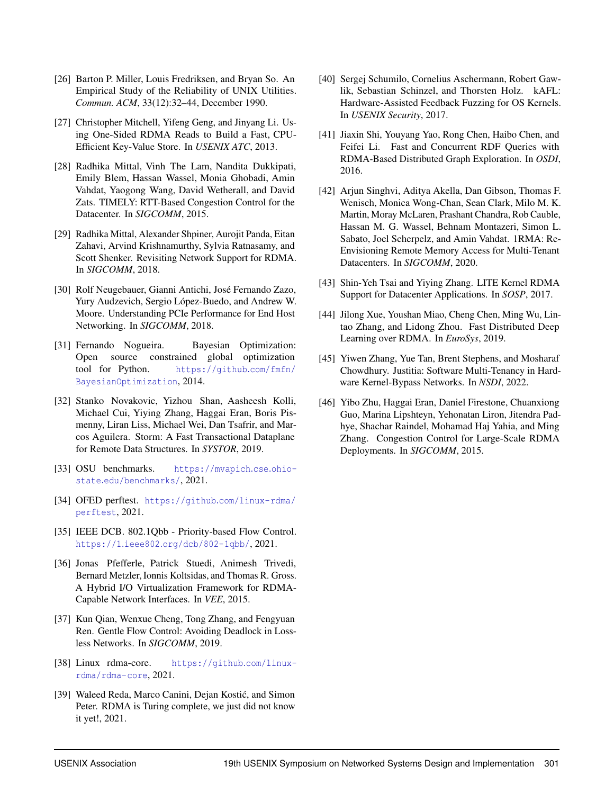- <span id="page-15-19"></span>[26] Barton P. Miller, Louis Fredriksen, and Bryan So. An Empirical Study of the Reliability of UNIX Utilities. *Commun. ACM*, 33(12):32–44, December 1990.
- <span id="page-15-10"></span>[27] Christopher Mitchell, Yifeng Geng, and Jinyang Li. Using One-Sided RDMA Reads to Build a Fast, CPU-Efficient Key-Value Store. In *USENIX ATC*, 2013.
- <span id="page-15-7"></span>[28] Radhika Mittal, Vinh The Lam, Nandita Dukkipati, Emily Blem, Hassan Wassel, Monia Ghobadi, Amin Vahdat, Yaogong Wang, David Wetherall, and David Zats. TIMELY: RTT-Based Congestion Control for the Datacenter. In *SIGCOMM*, 2015.
- <span id="page-15-18"></span>[29] Radhika Mittal, Alexander Shpiner, Aurojit Panda, Eitan Zahavi, Arvind Krishnamurthy, Sylvia Ratnasamy, and Scott Shenker. Revisiting Network Support for RDMA. In *SIGCOMM*, 2018.
- <span id="page-15-14"></span>[30] Rolf Neugebauer, Gianni Antichi, José Fernando Zazo, Yury Audzevich, Sergio López-Buedo, and Andrew W. Moore. Understanding PCIe Performance for End Host Networking. In *SIGCOMM*, 2018.
- <span id="page-15-13"></span>[31] Fernando Nogueira. Bayesian Optimization: Open source constrained global optimization tool for Python. [https://github](https://github.com/fmfn/BayesianOptimization).com/fmfn/ [BayesianOptimization](https://github.com/fmfn/BayesianOptimization), 2014.
- <span id="page-15-3"></span>[32] Stanko Novakovic, Yizhou Shan, Aasheesh Kolli, Michael Cui, Yiying Zhang, Haggai Eran, Boris Pismenny, Liran Liss, Michael Wei, Dan Tsafrir, and Marcos Aguilera. Storm: A Fast Transactional Dataplane for Remote Data Structures. In *SYSTOR*, 2019.
- <span id="page-15-9"></span>[33] OSU benchmarks. [https://mvapich](https://mvapich.cse.ohio-state.edu/benchmarks/).cse.ohiostate.[edu/benchmarks/](https://mvapich.cse.ohio-state.edu/benchmarks/), 2021.
- <span id="page-15-5"></span>[34] OFED perftest. https://github.[com/linux-rdma/](https://github.com/linux-rdma/perftest) [perftest](https://github.com/linux-rdma/perftest), 2021.
- <span id="page-15-6"></span>[35] IEEE DCB. 802.1Qbb - Priority-based Flow Control. https://1.ieee802.[org/dcb/802-1qbb/](https://1.ieee802.org/dcb/802-1qbb/), 2021.
- <span id="page-15-15"></span>[36] Jonas Pfefferle, Patrick Stuedi, Animesh Trivedi, Bernard Metzler, Ionnis Koltsidas, and Thomas R. Gross. A Hybrid I/O Virtualization Framework for RDMA-Capable Network Interfaces. In *VEE*, 2015.
- <span id="page-15-4"></span>[37] Kun Qian, Wenxue Cheng, Tong Zhang, and Fengyuan Ren. Gentle Flow Control: Avoiding Deadlock in Lossless Networks. In *SIGCOMM*, 2019.
- <span id="page-15-12"></span>[38] Linux rdma-core. [https://github](https://github.com/linux-rdma/rdma-core).com/linux[rdma/rdma-core](https://github.com/linux-rdma/rdma-core), 2021.
- <span id="page-15-11"></span>[39] Waleed Reda, Marco Canini, Dejan Kostić, and Simon Peter. RDMA is Turing complete, we just did not know it yet!, 2021.
- <span id="page-15-20"></span>[40] Sergej Schumilo, Cornelius Aschermann, Robert Gawlik, Sebastian Schinzel, and Thorsten Holz. kAFL: Hardware-Assisted Feedback Fuzzing for OS Kernels. In *USENIX Security*, 2017.
- <span id="page-15-1"></span>[41] Jiaxin Shi, Youyang Yao, Rong Chen, Haibo Chen, and Feifei Li. Fast and Concurrent RDF Queries with RDMA-Based Distributed Graph Exploration. In *OSDI*, 2016.
- <span id="page-15-8"></span>[42] Arjun Singhvi, Aditya Akella, Dan Gibson, Thomas F. Wenisch, Monica Wong-Chan, Sean Clark, Milo M. K. Martin, Moray McLaren, Prashant Chandra, Rob Cauble, Hassan M. G. Wassel, Behnam Montazeri, Simon L. Sabato, Joel Scherpelz, and Amin Vahdat. 1RMA: Re-Envisioning Remote Memory Access for Multi-Tenant Datacenters. In *SIGCOMM*, 2020.
- <span id="page-15-16"></span>[43] Shin-Yeh Tsai and Yiying Zhang. LITE Kernel RDMA Support for Datacenter Applications. In *SOSP*, 2017.
- <span id="page-15-2"></span>[44] Jilong Xue, Youshan Miao, Cheng Chen, Ming Wu, Lintao Zhang, and Lidong Zhou. Fast Distributed Deep Learning over RDMA. In *EuroSys*, 2019.
- <span id="page-15-17"></span>[45] Yiwen Zhang, Yue Tan, Brent Stephens, and Mosharaf Chowdhury. Justitia: Software Multi-Tenancy in Hardware Kernel-Bypass Networks. In *NSDI*, 2022.
- <span id="page-15-0"></span>[46] Yibo Zhu, Haggai Eran, Daniel Firestone, Chuanxiong Guo, Marina Lipshteyn, Yehonatan Liron, Jitendra Padhye, Shachar Raindel, Mohamad Haj Yahia, and Ming Zhang. Congestion Control for Large-Scale RDMA Deployments. In *SIGCOMM*, 2015.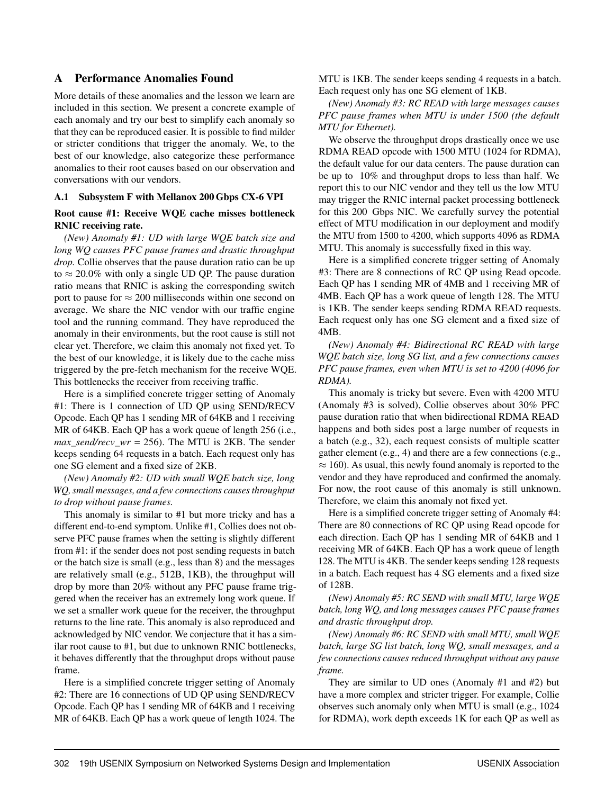# <span id="page-16-0"></span>A Performance Anomalies Found

More details of these anomalies and the lesson we learn are included in this section. We present a concrete example of each anomaly and try our best to simplify each anomaly so that they can be reproduced easier. It is possible to find milder or stricter conditions that trigger the anomaly. We, to the best of our knowledge, also categorize these performance anomalies to their root causes based on our observation and conversations with our vendors.

#### A.1 Subsystem F with Mellanox 200 Gbps CX-6 VPI

#### Root cause #1: Receive WQE cache misses bottleneck RNIC receiving rate.

*(New) Anomaly #1: UD with large WQE batch size and long WQ causes PFC pause frames and drastic throughput drop.* Collie observes that the pause duration ratio can be up to  $\approx$  20.0% with only a single UD QP. The pause duration ratio means that RNIC is asking the corresponding switch port to pause for  $\approx 200$  milliseconds within one second on average. We share the NIC vendor with our traffic engine tool and the running command. They have reproduced the anomaly in their environments, but the root cause is still not clear yet. Therefore, we claim this anomaly not fixed yet. To the best of our knowledge, it is likely due to the cache miss triggered by the pre-fetch mechanism for the receive WQE. This bottlenecks the receiver from receiving traffic.

Here is a simplified concrete trigger setting of Anomaly #1: There is 1 connection of UD QP using SEND/RECV Opcode. Each QP has 1 sending MR of 64KB and 1 receiving MR of 64KB. Each QP has a work queue of length 256 (i.e.,  $max\_send/recv\_wr = 256$ . The MTU is 2KB. The sender keeps sending 64 requests in a batch. Each request only has one SG element and a fixed size of 2KB.

*(New) Anomaly #2: UD with small WQE batch size, long WQ, small messages, and a few connections causes throughput to drop without pause frames.*

This anomaly is similar to #1 but more tricky and has a different end-to-end symptom. Unlike #1, Collies does not observe PFC pause frames when the setting is slightly different from #1: if the sender does not post sending requests in batch or the batch size is small (e.g., less than 8) and the messages are relatively small (e.g., 512B, 1KB), the throughput will drop by more than 20% without any PFC pause frame triggered when the receiver has an extremely long work queue. If we set a smaller work queue for the receiver, the throughput returns to the line rate. This anomaly is also reproduced and acknowledged by NIC vendor. We conjecture that it has a similar root cause to #1, but due to unknown RNIC bottlenecks, it behaves differently that the throughput drops without pause frame.

Here is a simplified concrete trigger setting of Anomaly #2: There are 16 connections of UD QP using SEND/RECV Opcode. Each QP has 1 sending MR of 64KB and 1 receiving MR of 64KB. Each QP has a work queue of length 1024. The

MTU is 1KB. The sender keeps sending 4 requests in a batch. Each request only has one SG element of 1KB.

*(New) Anomaly #3: RC READ with large messages causes PFC pause frames when MTU is under 1500 (the default MTU for Ethernet).*

We observe the throughput drops drastically once we use RDMA READ opcode with 1500 MTU (1024 for RDMA), the default value for our data centers. The pause duration can be up to 10% and throughput drops to less than half. We report this to our NIC vendor and they tell us the low MTU may trigger the RNIC internal packet processing bottleneck for this 200 Gbps NIC. We carefully survey the potential effect of MTU modification in our deployment and modify the MTU from 1500 to 4200, which supports 4096 as RDMA MTU. This anomaly is successfully fixed in this way.

Here is a simplified concrete trigger setting of Anomaly #3: There are 8 connections of RC QP using Read opcode. Each QP has 1 sending MR of 4MB and 1 receiving MR of 4MB. Each QP has a work queue of length 128. The MTU is 1KB. The sender keeps sending RDMA READ requests. Each request only has one SG element and a fixed size of 4MB.

*(New) Anomaly #4: Bidirectional RC READ with large WQE batch size, long SG list, and a few connections causes PFC pause frames, even when MTU is set to 4200 (4096 for RDMA).*

This anomaly is tricky but severe. Even with 4200 MTU (Anomaly #3 is solved), Collie observes about 30% PFC pause duration ratio that when bidirectional RDMA READ happens and both sides post a large number of requests in a batch (e.g., 32), each request consists of multiple scatter gather element (e.g., 4) and there are a few connections (e.g.,  $\approx$  160). As usual, this newly found anomaly is reported to the vendor and they have reproduced and confirmed the anomaly. For now, the root cause of this anomaly is still unknown. Therefore, we claim this anomaly not fixed yet.

Here is a simplified concrete trigger setting of Anomaly #4: There are 80 connections of RC QP using Read opcode for each direction. Each QP has 1 sending MR of 64KB and 1 receiving MR of 64KB. Each QP has a work queue of length 128. The MTU is 4KB. The sender keeps sending 128 requests in a batch. Each request has 4 SG elements and a fixed size of 128B.

*(New) Anomaly #5: RC SEND with small MTU, large WQE batch, long WQ, and long messages causes PFC pause frames and drastic throughput drop.*

*(New) Anomaly #6: RC SEND with small MTU, small WQE batch, large SG list batch, long WQ, small messages, and a few connections causes reduced throughput without any pause frame.*

They are similar to UD ones (Anomaly #1 and #2) but have a more complex and stricter trigger. For example, Collie observes such anomaly only when MTU is small (e.g., 1024 for RDMA), work depth exceeds 1K for each QP as well as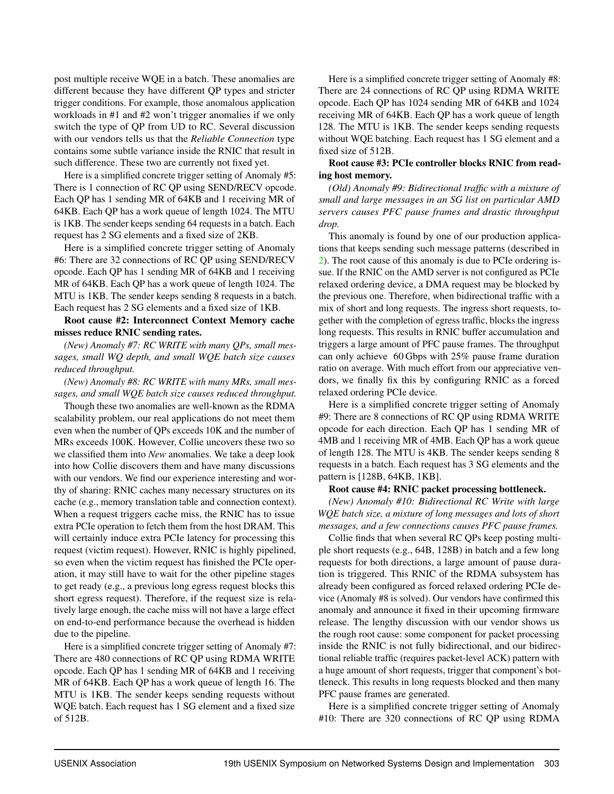post multiple receive WQE in a batch. These anomalies are different because they have different QP types and stricter trigger conditions. For example, those anomalous application workloads in #1 and #2 won't trigger anomalies if we only switch the type of QP from UD to RC. Several discussion with our vendors tells us that the *Reliable Connection* type contains some subtle variance inside the RNIC that result in such difference. These two are currently not fixed yet.

Here is a simplified concrete trigger setting of Anomaly #5: There is 1 connection of RC QP using SEND/RECV opcode. Each QP has 1 sending MR of 64KB and 1 receiving MR of 64KB. Each QP has a work queue of length 1024. The MTU is 1KB. The sender keeps sending 64 requests in a batch. Each request has 2 SG elements and a fixed size of 2KB.

Here is a simplified concrete trigger setting of Anomaly #6: There are 32 connections of RC QP using SEND/RECV opcode. Each QP has 1 sending MR of 64KB and 1 receiving MR of 64KB. Each QP has a work queue of length 1024. The MTU is 1KB. The sender keeps sending 8 requests in a batch. Each request has 2 SG elements and a fixed size of 1KB.

Root cause #2: Interconnect Context Memory cache misses reduce RNIC sending rates.

*(New) Anomaly #7: RC WRITE with many QPs, small messages, small WQ depth, and small WQE batch size causes reduced throughput.*

*(New) Anomaly #8: RC WRITE with many MRs, small messages, and small WQE batch size causes reduced throughput.*

Though these two anomalies are well-known as the RDMA scalability problem, our real applications do not meet them even when the number of QPs exceeds 10K and the number of MRs exceeds 100K. However, Collie uncovers these two so we classified them into *New* anomalies. We take a deep look into how Collie discovers them and have many discussions with our vendors. We find our experience interesting and worthy of sharing: RNIC caches many necessary structures on its cache (e.g., memory translation table and connection context). When a request triggers cache miss, the RNIC has to issue extra PCIe operation to fetch them from the host DRAM. This will certainly induce extra PCIe latency for processing this request (victim request). However, RNIC is highly pipelined, so even when the victim request has finished the PCIe operation, it may still have to wait for the other pipeline stages to get ready (e.g., a previous long egress request blocks this short egress request). Therefore, if the request size is relatively large enough, the cache miss will not have a large effect on end-to-end performance because the overhead is hidden due to the pipeline.

Here is a simplified concrete trigger setting of Anomaly #7: There are 480 connections of RC QP using RDMA WRITE opcode. Each QP has 1 sending MR of 64KB and 1 receiving MR of 64KB. Each QP has a work queue of length 16. The MTU is 1KB. The sender keeps sending requests without WQE batch. Each request has 1 SG element and a fixed size of 512B.

Here is a simplified concrete trigger setting of Anomaly #8: There are 24 connections of RC QP using RDMA WRITE opcode. Each QP has 1024 sending MR of 64KB and 1024 receiving MR of 64KB. Each QP has a work queue of length 128. The MTU is 1KB. The sender keeps sending requests without WQE batching. Each request has 1 SG element and a fixed size of 512B.

#### Root cause #3: PCIe controller blocks RNIC from reading host memory.

*(Old) Anomaly #9: Bidirectional traffic with a mixture of small and large messages in an SG list on particular AMD servers causes PFC pause frames and drastic throughput drop.*

This anomaly is found by one of our production applications that keeps sending such message patterns (described in [2\)](#page-3-1). The root cause of this anomaly is due to PCIe ordering issue. If the RNIC on the AMD server is not configured as PCIe relaxed ordering device, a DMA request may be blocked by the previous one. Therefore, when bidirectional traffic with a mix of short and long requests. The ingress short requests, together with the completion of egress traffic, blocks the ingress long requests. This results in RNIC buffer accumulation and triggers a large amount of PFC pause frames. The throughput can only achieve 60 Gbps with 25% pause frame duration ratio on average. With much effort from our appreciative vendors, we finally fix this by configuring RNIC as a forced relaxed ordering PCIe device.

Here is a simplified concrete trigger setting of Anomaly #9: There are 8 connections of RC QP using RDMA WRITE opcode for each direction. Each QP has 1 sending MR of 4MB and 1 receiving MR of 4MB. Each QP has a work queue of length 128. The MTU is 4KB. The sender keeps sending 8 requests in a batch. Each request has 3 SG elements and the pattern is [128B, 64KB, 1KB].

#### Root cause #4: RNIC packet processing bottleneck.

*(New) Anomaly #10: Bidirectional RC Write with large WQE batch size, a mixture of long messages and lots of short messages, and a few connections causes PFC pause frames.*

Collie finds that when several RC QPs keep posting multiple short requests (e.g., 64B, 128B) in batch and a few long requests for both directions, a large amount of pause duration is triggered. This RNIC of the RDMA subsystem has already been configured as forced relaxed ordering PCIe device (Anomaly #8 is solved). Our vendors have confirmed this anomaly and announce it fixed in their upcoming firmware release. The lengthy discussion with our vendor shows us the rough root cause: some component for packet processing inside the RNIC is not fully bidirectional, and our bidirectional reliable traffic (requires packet-level ACK) pattern with a huge amount of short requests, trigger that component's bottleneck. This results in long requests blocked and then many PFC pause frames are generated.

Here is a simplified concrete trigger setting of Anomaly #10: There are 320 connections of RC QP using RDMA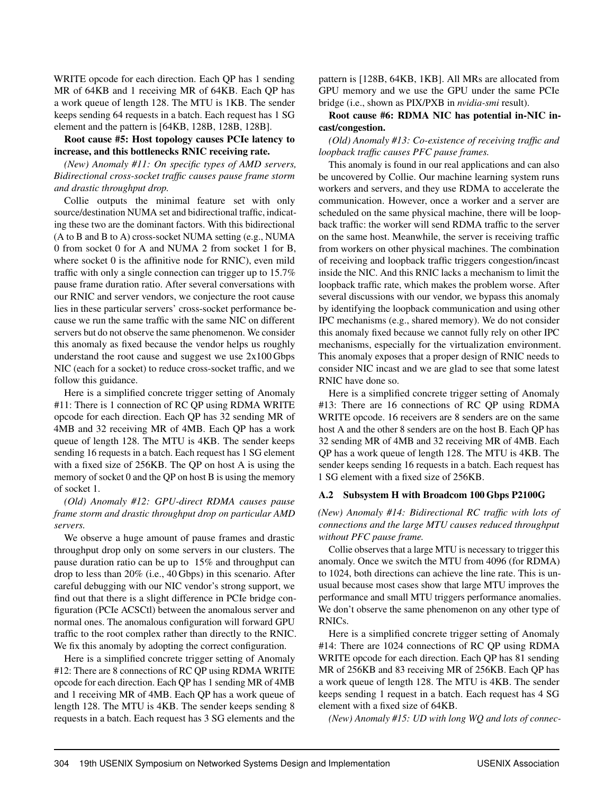WRITE opcode for each direction. Each OP has 1 sending MR of 64KB and 1 receiving MR of 64KB. Each QP has a work queue of length 128. The MTU is 1KB. The sender keeps sending 64 requests in a batch. Each request has 1 SG element and the pattern is [64KB, 128B, 128B, 128B].

Root cause #5: Host topology causes PCIe latency to increase, and this bottlenecks RNIC receiving rate.

*(New) Anomaly #11: On specific types of AMD servers, Bidirectional cross-socket traffic causes pause frame storm and drastic throughput drop.*

Collie outputs the minimal feature set with only source/destination NUMA set and bidirectional traffic, indicating these two are the dominant factors. With this bidirectional (A to B and B to A) cross-socket NUMA setting (e.g., NUMA 0 from socket 0 for A and NUMA 2 from socket 1 for B, where socket 0 is the affinitive node for RNIC), even mild traffic with only a single connection can trigger up to 15.7% pause frame duration ratio. After several conversations with our RNIC and server vendors, we conjecture the root cause lies in these particular servers' cross-socket performance because we run the same traffic with the same NIC on different servers but do not observe the same phenomenon. We consider this anomaly as fixed because the vendor helps us roughly understand the root cause and suggest we use 2x100 Gbps NIC (each for a socket) to reduce cross-socket traffic, and we follow this guidance.

Here is a simplified concrete trigger setting of Anomaly #11: There is 1 connection of RC QP using RDMA WRITE opcode for each direction. Each QP has 32 sending MR of 4MB and 32 receiving MR of 4MB. Each QP has a work queue of length 128. The MTU is 4KB. The sender keeps sending 16 requests in a batch. Each request has 1 SG element with a fixed size of 256KB. The QP on host A is using the memory of socket 0 and the QP on host B is using the memory of socket 1.

## *(Old) Anomaly #12: GPU-direct RDMA causes pause frame storm and drastic throughput drop on particular AMD servers.*

We observe a huge amount of pause frames and drastic throughput drop only on some servers in our clusters. The pause duration ratio can be up to 15% and throughput can drop to less than 20% (i.e., 40 Gbps) in this scenario. After careful debugging with our NIC vendor's strong support, we find out that there is a slight difference in PCIe bridge configuration (PCIe ACSCtl) between the anomalous server and normal ones. The anomalous configuration will forward GPU traffic to the root complex rather than directly to the RNIC. We fix this anomaly by adopting the correct configuration.

Here is a simplified concrete trigger setting of Anomaly #12: There are 8 connections of RC QP using RDMA WRITE opcode for each direction. Each QP has 1 sending MR of 4MB and 1 receiving MR of 4MB. Each QP has a work queue of length 128. The MTU is 4KB. The sender keeps sending 8 requests in a batch. Each request has 3 SG elements and the

pattern is [128B, 64KB, 1KB]. All MRs are allocated from GPU memory and we use the GPU under the same PCIe bridge (i.e., shown as PIX/PXB in *nvidia-smi* result).

## Root cause #6: RDMA NIC has potential in-NIC incast/congestion.

## *(Old) Anomaly #13: Co-existence of receiving traffic and loopback traffic causes PFC pause frames.*

This anomaly is found in our real applications and can also be uncovered by Collie. Our machine learning system runs workers and servers, and they use RDMA to accelerate the communication. However, once a worker and a server are scheduled on the same physical machine, there will be loopback traffic: the worker will send RDMA traffic to the server on the same host. Meanwhile, the server is receiving traffic from workers on other physical machines. The combination of receiving and loopback traffic triggers congestion/incast inside the NIC. And this RNIC lacks a mechanism to limit the loopback traffic rate, which makes the problem worse. After several discussions with our vendor, we bypass this anomaly by identifying the loopback communication and using other IPC mechanisms (e.g., shared memory). We do not consider this anomaly fixed because we cannot fully rely on other IPC mechanisms, especially for the virtualization environment. This anomaly exposes that a proper design of RNIC needs to consider NIC incast and we are glad to see that some latest RNIC have done so.

Here is a simplified concrete trigger setting of Anomaly #13: There are 16 connections of RC QP using RDMA WRITE opcode. 16 receivers are 8 senders are on the same host A and the other 8 senders are on the host B. Each QP has 32 sending MR of 4MB and 32 receiving MR of 4MB. Each QP has a work queue of length 128. The MTU is 4KB. The sender keeps sending 16 requests in a batch. Each request has 1 SG element with a fixed size of 256KB.

## A.2 Subsystem H with Broadcom 100 Gbps P2100G

*(New) Anomaly #14: Bidirectional RC traffic with lots of connections and the large MTU causes reduced throughput without PFC pause frame.*

Collie observes that a large MTU is necessary to trigger this anomaly. Once we switch the MTU from 4096 (for RDMA) to 1024, both directions can achieve the line rate. This is unusual because most cases show that large MTU improves the performance and small MTU triggers performance anomalies. We don't observe the same phenomenon on any other type of RNICs.

Here is a simplified concrete trigger setting of Anomaly #14: There are 1024 connections of RC QP using RDMA WRITE opcode for each direction. Each QP has 81 sending MR of 256KB and 83 receiving MR of 256KB. Each QP has a work queue of length 128. The MTU is 4KB. The sender keeps sending 1 request in a batch. Each request has 4 SG element with a fixed size of 64KB.

*(New) Anomaly #15: UD with long WQ and lots of connec-*